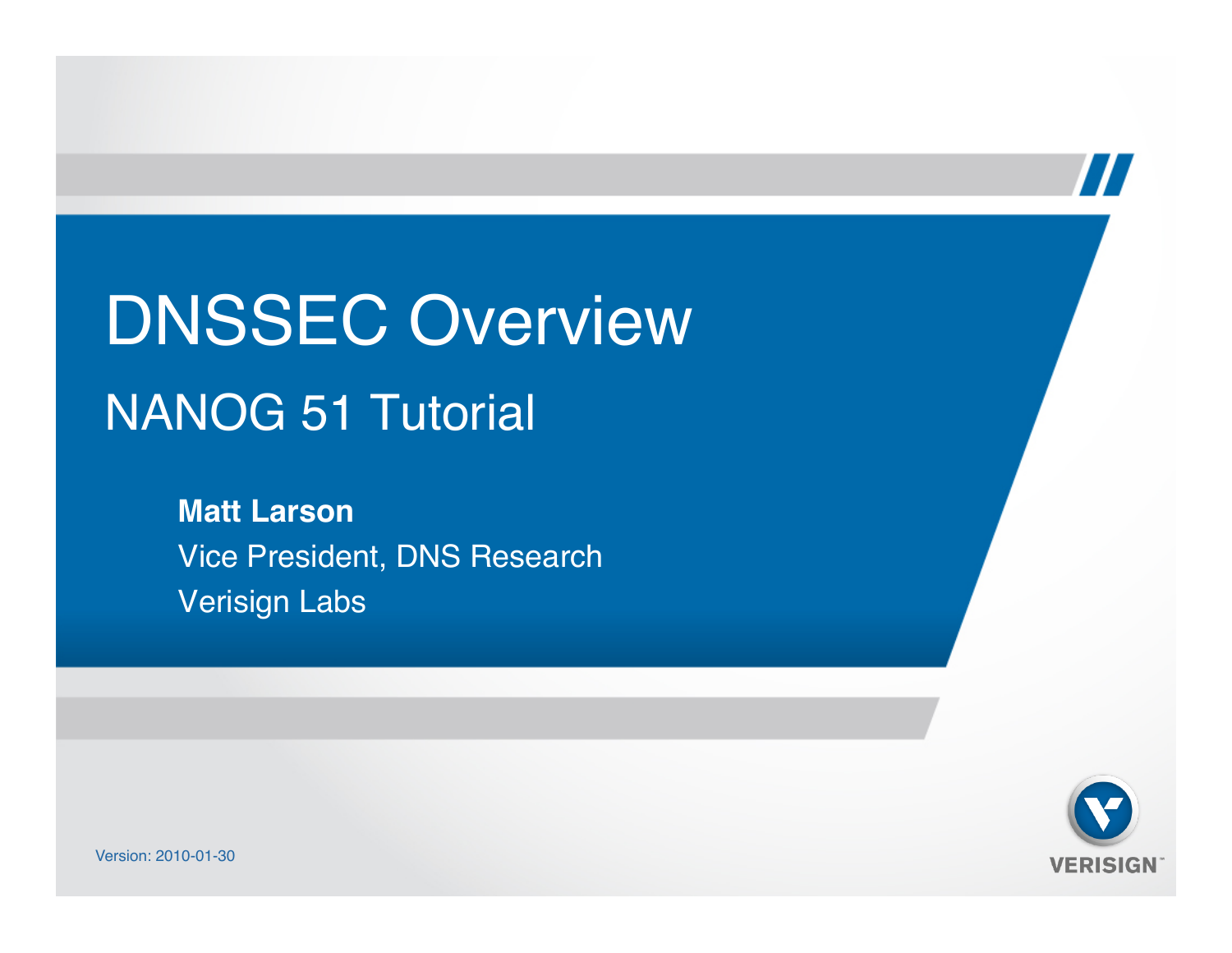# DNSSEC Overview NANOG 51 Tutorial

**Matt Larson** Vice President, DNS Research Verisign Labs



 $\bm{\prime}$ 

Version: 2010-01-30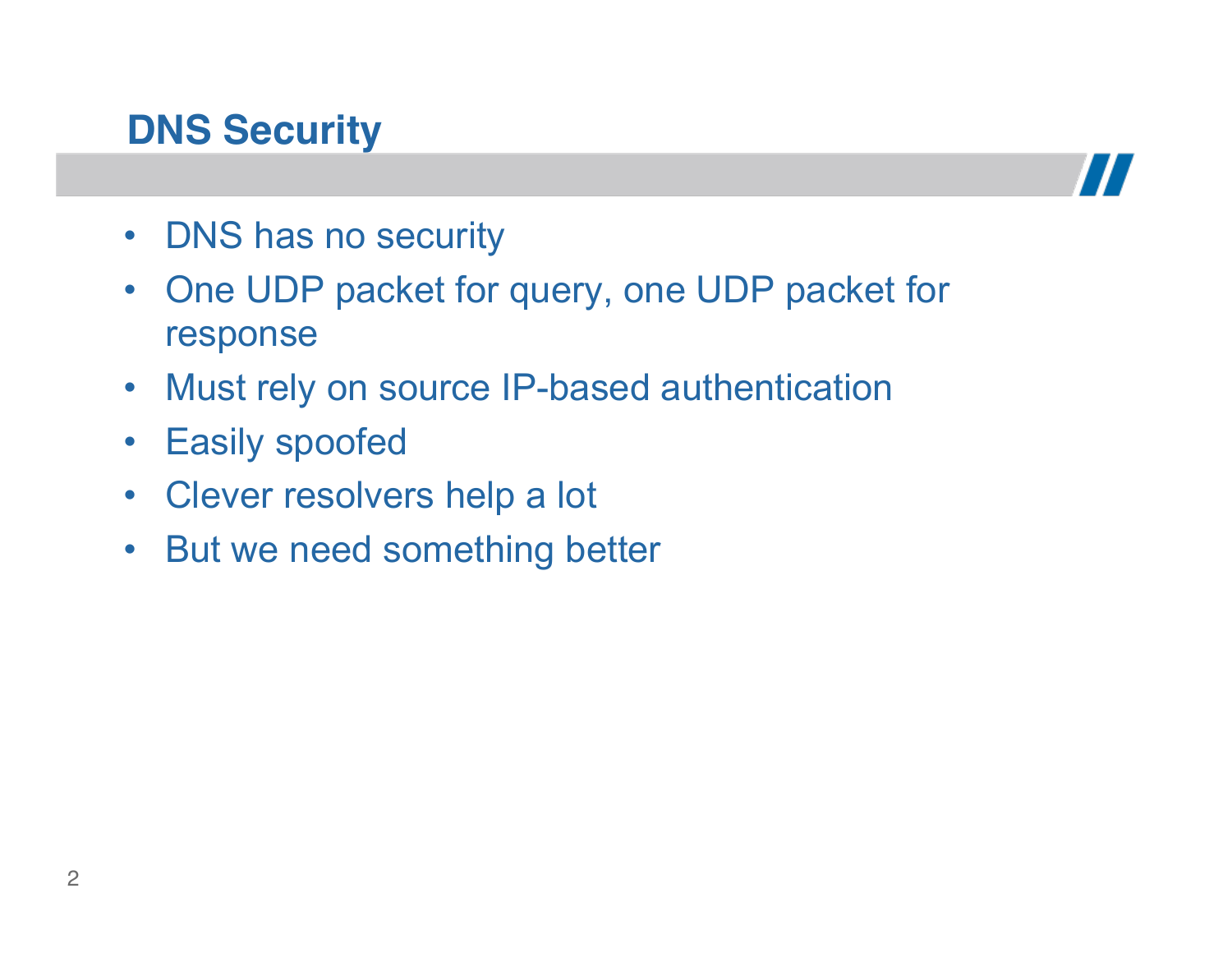# **DNS Security**



- DNS has no security
- One UDP packet for query, one UDP packet for response
- Must rely on source IP-based authentication
- Easily spoofed
- Clever resolvers help a lot
- But we need something better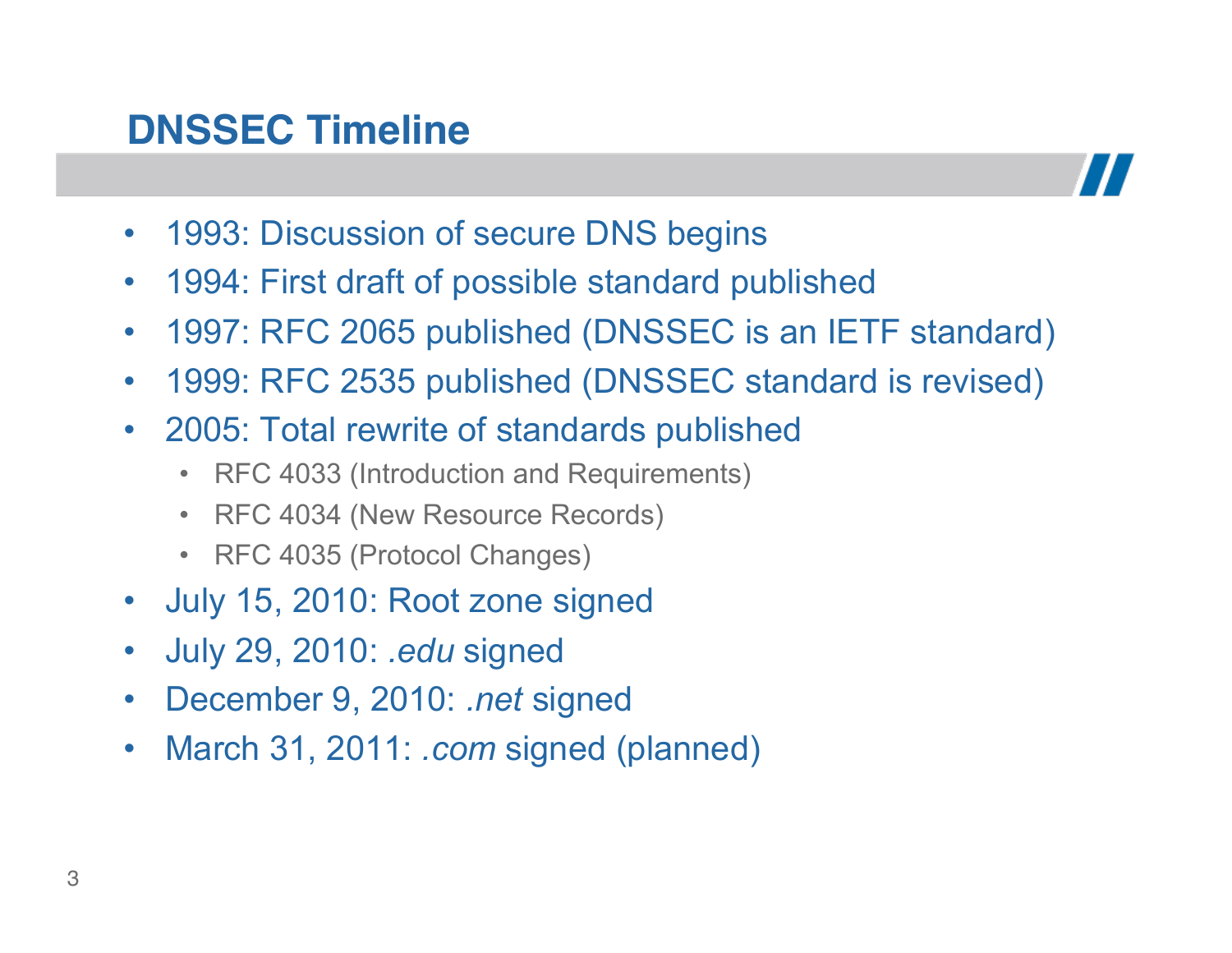# **DNSSEC Timeline**



- 1993: Discussion of secure DNS begins
- 1994: First draft of possible standard published
- 1997: RFC 2065 published (DNSSEC is an IETF standard)
- 1999: RFC 2535 published (DNSSEC standard is revised)
- 2005: Total rewrite of standards published
	- RFC 4033 (Introduction and Requirements)
	- RFC 4034 (New Resource Records)
	- RFC 4035 (Protocol Changes)
- July 15, 2010: Root zone signed
- July 29, 2010: *.edu* signed
- December 9, 2010: *.net* signed
- March 31, 2011: *.com* signed (planned)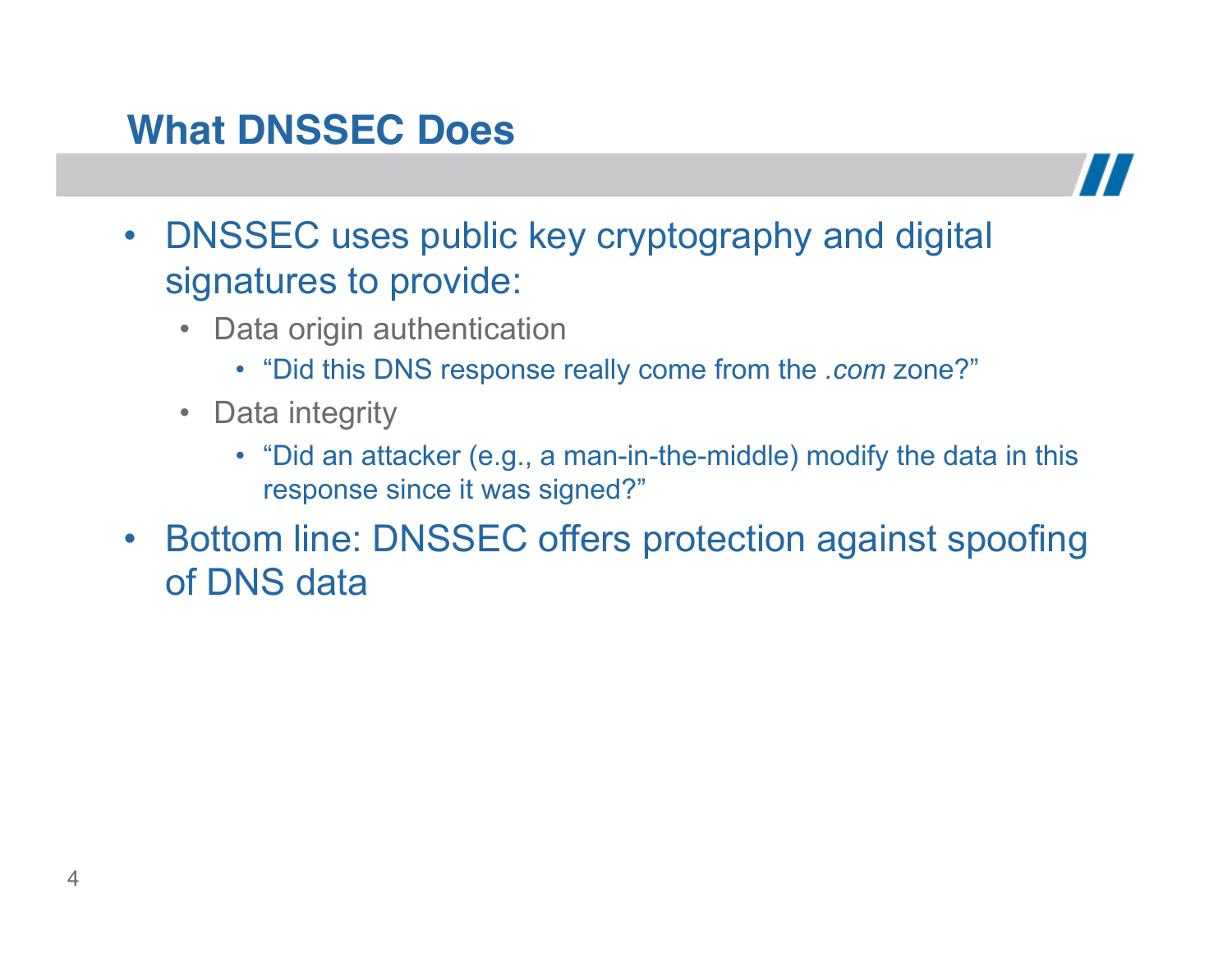#### **What DNSSEC Does**



- DNSSEC uses public key cryptography and digital signatures to provide:
	- Data origin authentication
		- "Did this DNS response really come from the *.com* zone?"
	- Data integrity
		- "Did an attacker (e.g., a man-in-the-middle) modify the data in this response since it was signed?"
- Bottom line: DNSSEC offers protection against spoofing of DNS data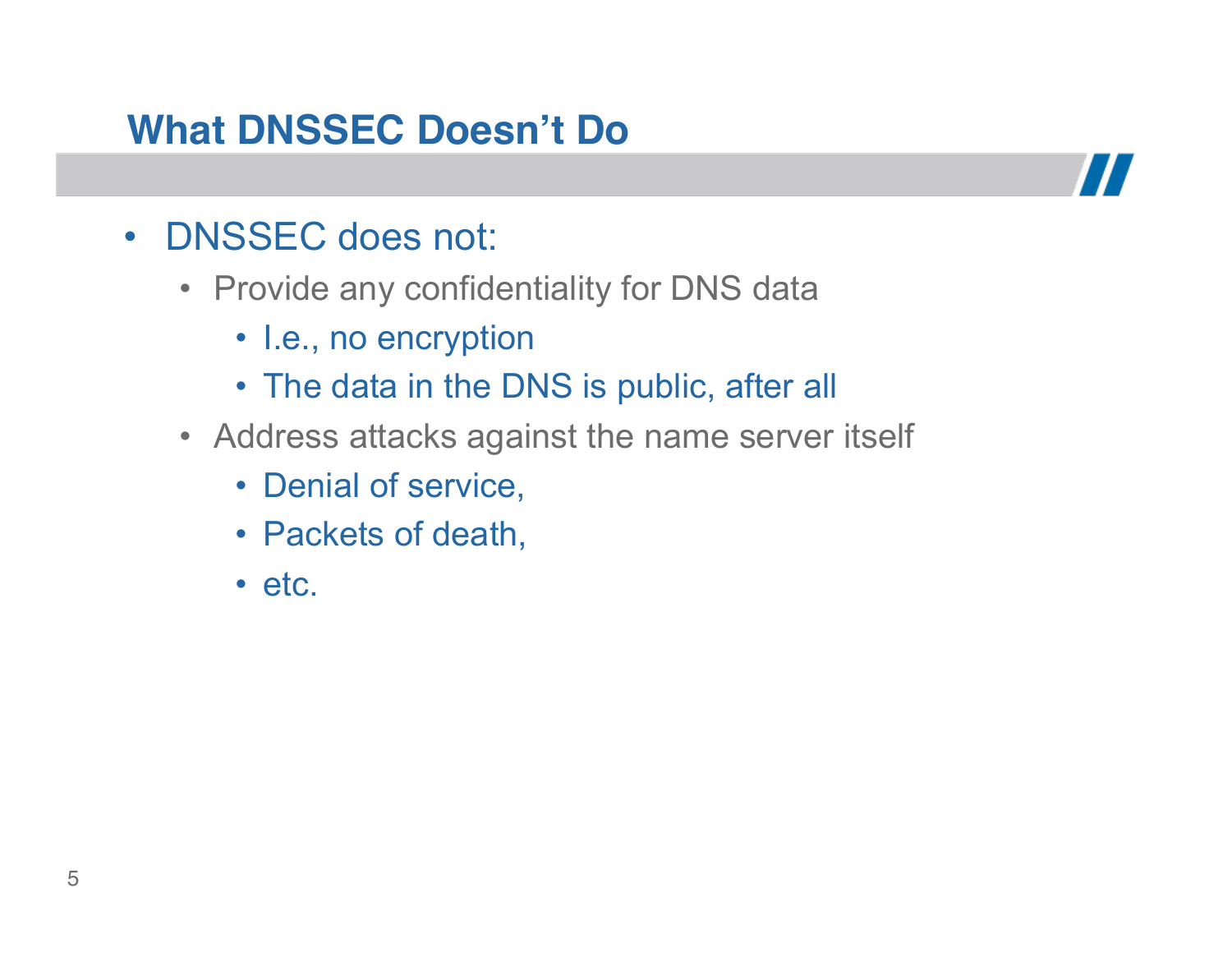# **What DNSSEC Doesn't Do**

- DNSSEC does not:
	- Provide any confidentiality for DNS data
		- I.e., no encryption
		- The data in the DNS is public, after all
	- Address attacks against the name server itself
		- Denial of service,
		- Packets of death,
		- etc.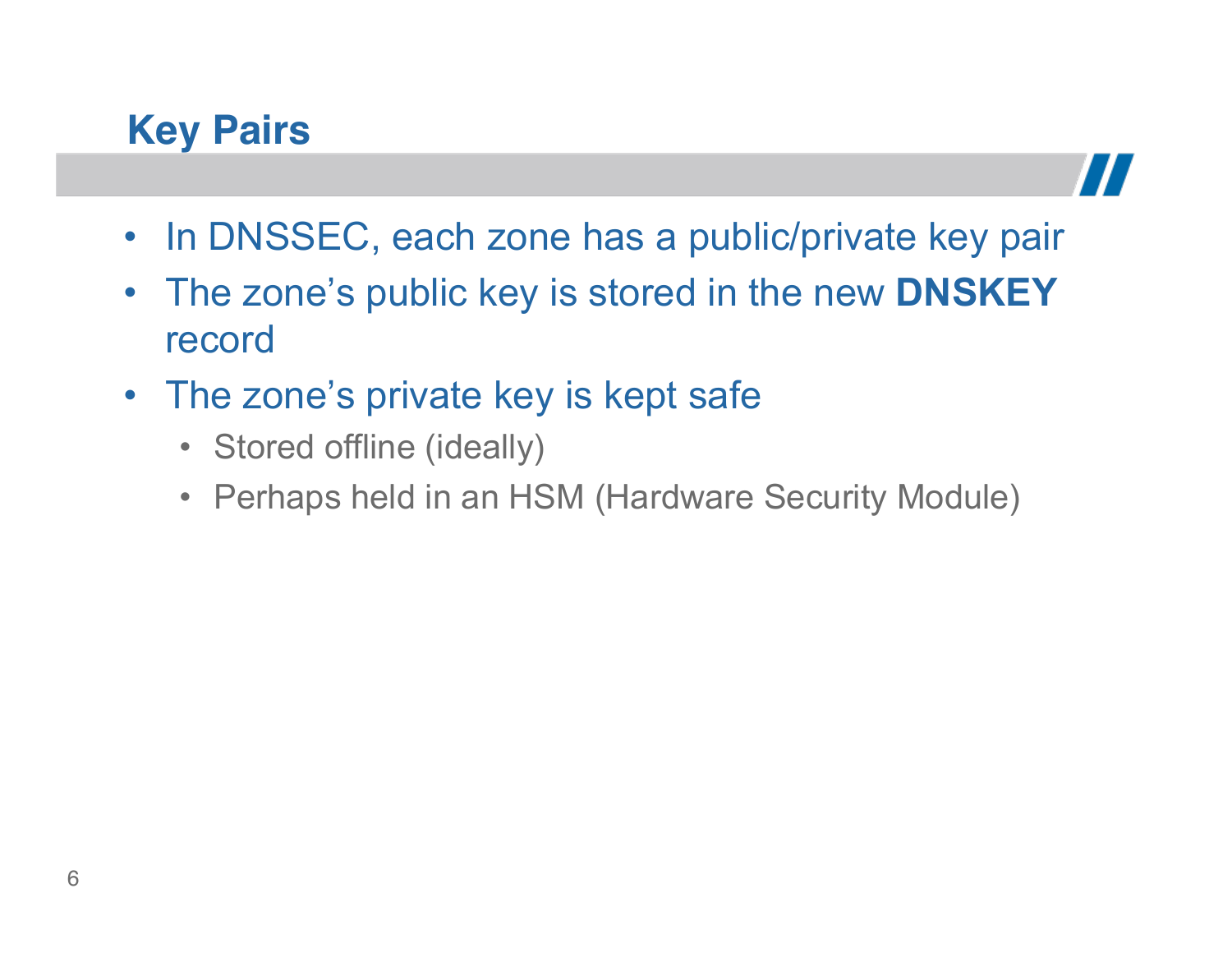# **Key Pairs**



- In DNSSEC, each zone has a public/private key pair
- The zone's public key is stored in the new **DNSKEY**  record
- The zone's private key is kept safe
	- Stored offline (ideally)
	- Perhaps held in an HSM (Hardware Security Module)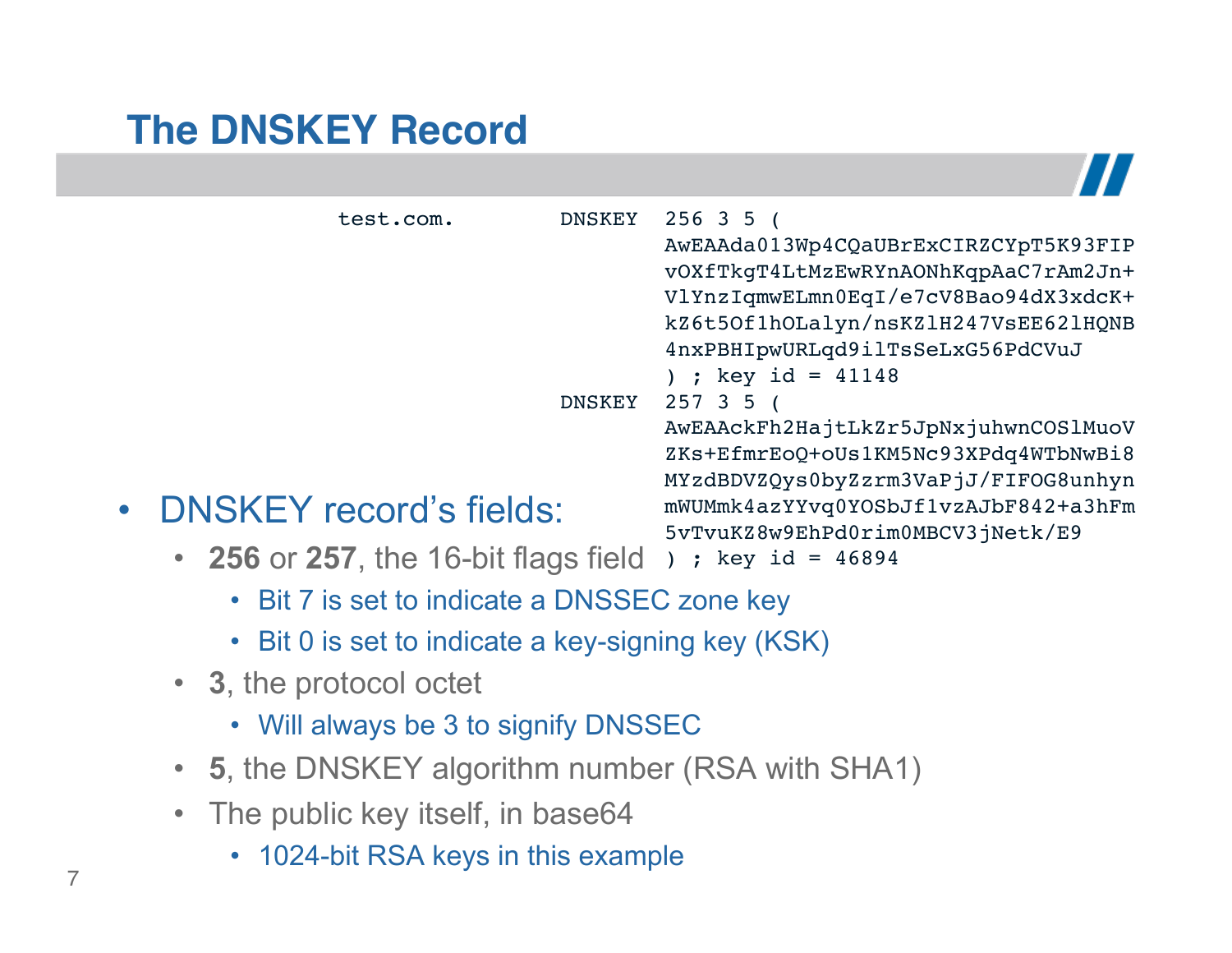# **The DNSKEY Record**

| test.com.<br><b>DNSKEY</b>                  | 256 3 5<br>AwEAAda013Wp4CQaUBrExCIRZCYpT5K93FIP<br>vOXfTkgT4LtMzEwRYnAONhKgpAaC7rAm2Jn+<br>VlYnzIqmwELmn0EqI/e7cV8Bao94dX3xdcK+<br>kZ6t5Of1hOLalyn/nsKZ1H247VsEE62lHQNB<br>4nxPBHIpwURLqd9ilTsSeLxG56PdCVuJ<br>$key id = 41148$ |
|---------------------------------------------|---------------------------------------------------------------------------------------------------------------------------------------------------------------------------------------------------------------------------------|
| <b>DNSKEY</b>                               | 257 3 5<br>AwEAAckFh2HajtLkZr5JpNxjuhwnCOSlMuoV<br>ZKs+EfmrEoQ+oUs1KM5Nc93XPdq4WTbNwBi8<br>MYzdBDVZQys0byZzrm3VaPjJ/FIFOG8unhyn                                                                                                 |
| <b>DNSKEY record's fields:</b><br>$\bullet$ | mWUMmk4azYYvq0YOSbJf1vzAJbF842+a3hFm<br>5vTvuKZ8w9EhPd0rim0MBCV3jNetk/E9                                                                                                                                                        |

- 256 or 257, the 16-bit flags field ) ; key id = 46894
	- Bit 7 is set to indicate a DNSSEC zone key
	- Bit 0 is set to indicate a key-signing key (KSK)
	- **3**, the protocol octet
		- Will always be 3 to signify DNSSEC
	- **5**, the DNSKEY algorithm number (RSA with SHA1)
	- The public key itself, in base64
		- 1024-bit RSA keys in this example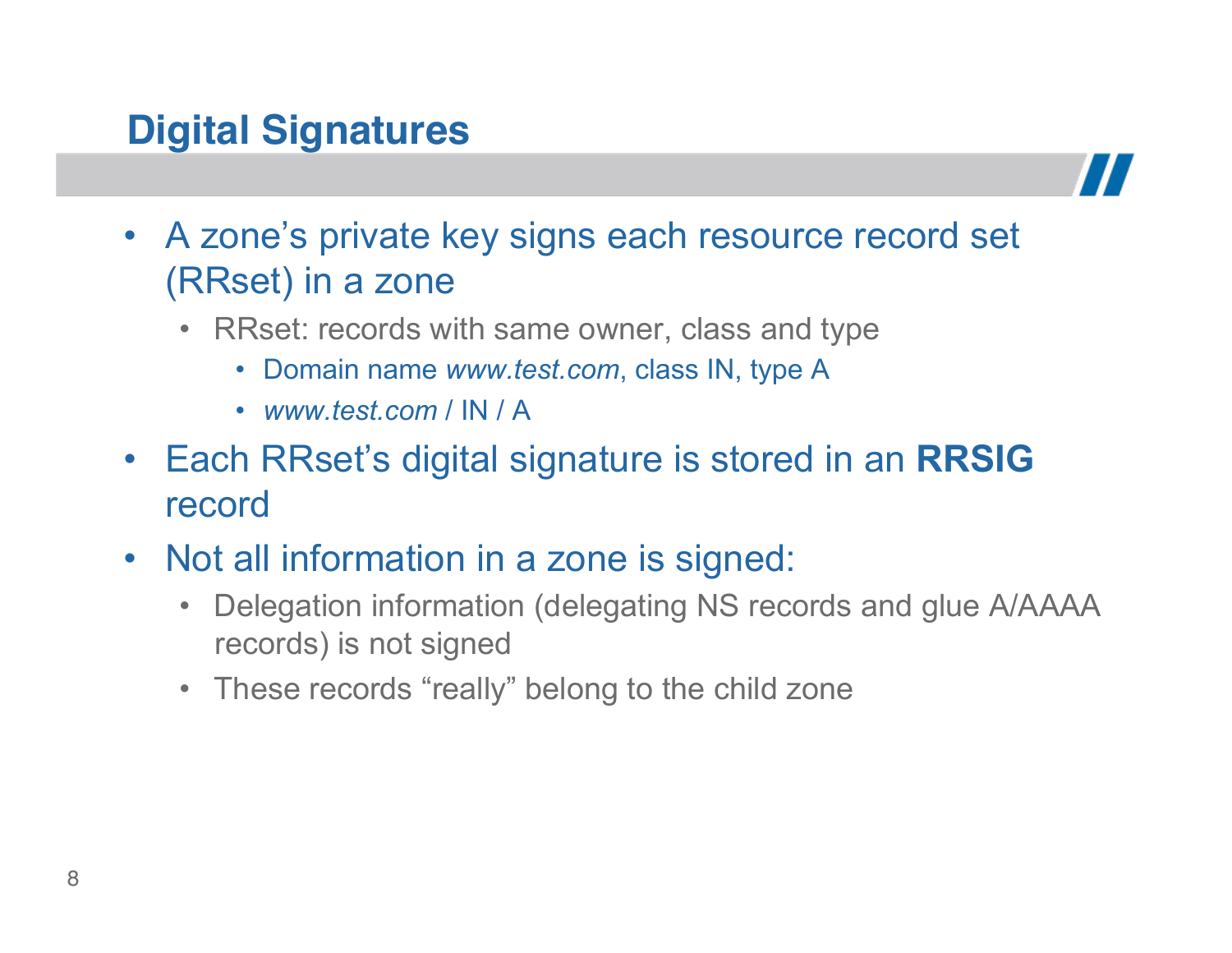# **Digital Signatures**



- A zone's private key signs each resource record set (RRset) in a zone
	- RRset: records with same owner, class and type
		- Domain name *www.test.com*, class IN, type A
		- *www.test.com* / IN / A
- Each RRset's digital signature is stored in an **RRSIG**  record
- Not all information in a zone is signed:
	- Delegation information (delegating NS records and glue A/AAAA records) is not signed
	- These records "really" belong to the child zone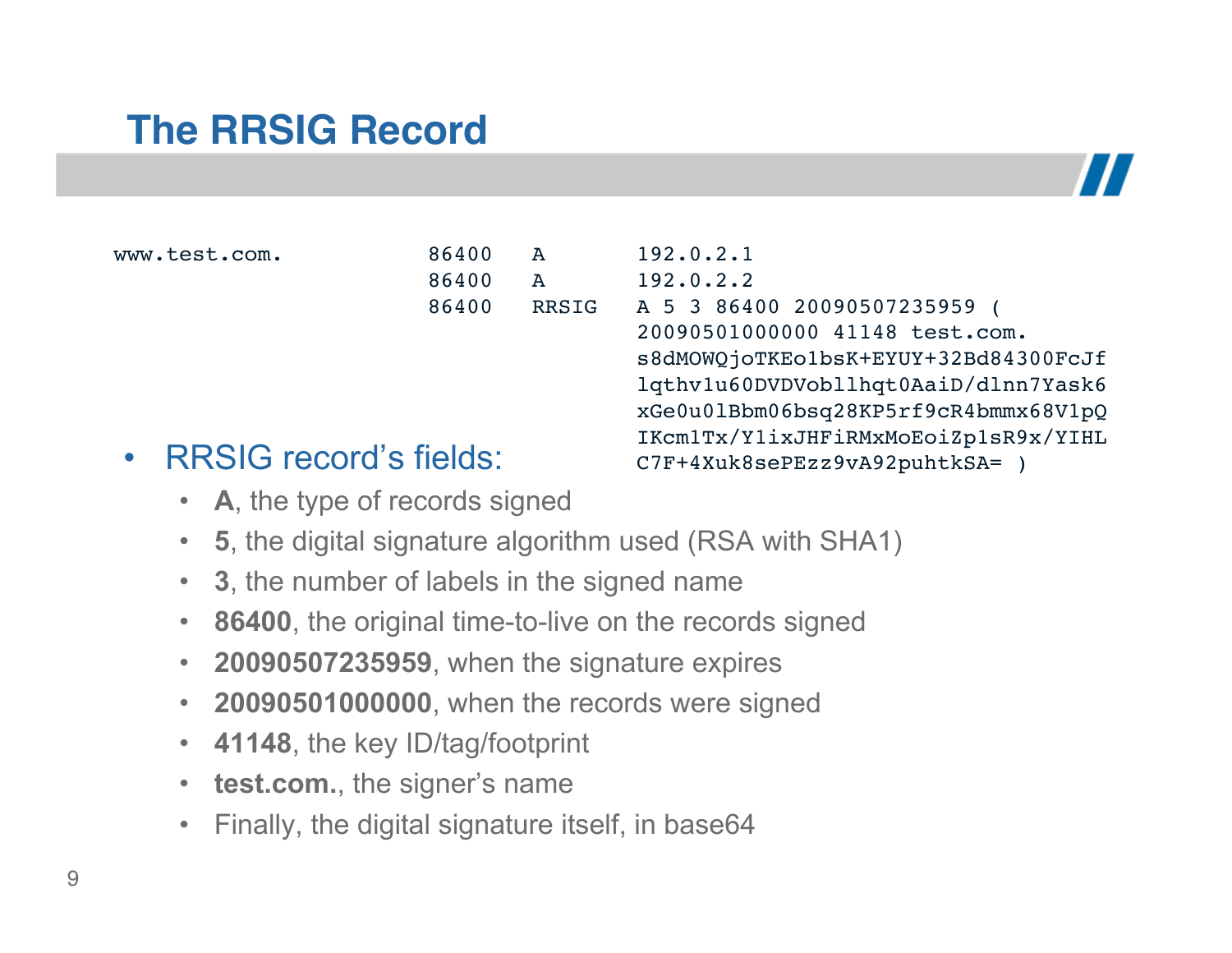# **The RRSIG Record**



- www.test.com. 86400 A 192.0.2.1 86400 A 192.0.2.2
	- 86400 RRSIG A 5 3 86400 20090507235959 ( 20090501000000 41148 test.com. s8dMOWQjoTKEo1bsK+EYUY+32Bd84300FcJf lqthv1u60DVDVobllhqt0AaiD/dlnn7Yask6 xGe0u0lBbm06bsq28KP5rf9cR4bmmx68V1pQ IKcm1Tx/Y1ixJHFiRMxMoEoiZp1sR9x/YIHL C7F+4Xuk8sePEzz9vA92puhtkSA= )
- RRSIG record's fields:
	- **A**, the type of records signed
	- **5**, the digital signature algorithm used (RSA with SHA1)
	- **3**, the number of labels in the signed name
	- **86400**, the original time-to-live on the records signed
	- **20090507235959**, when the signature expires
	- **20090501000000**, when the records were signed
	- **41148**, the key ID/tag/footprint
	- **test.com.**, the signer's name
	- Finally, the digital signature itself, in base64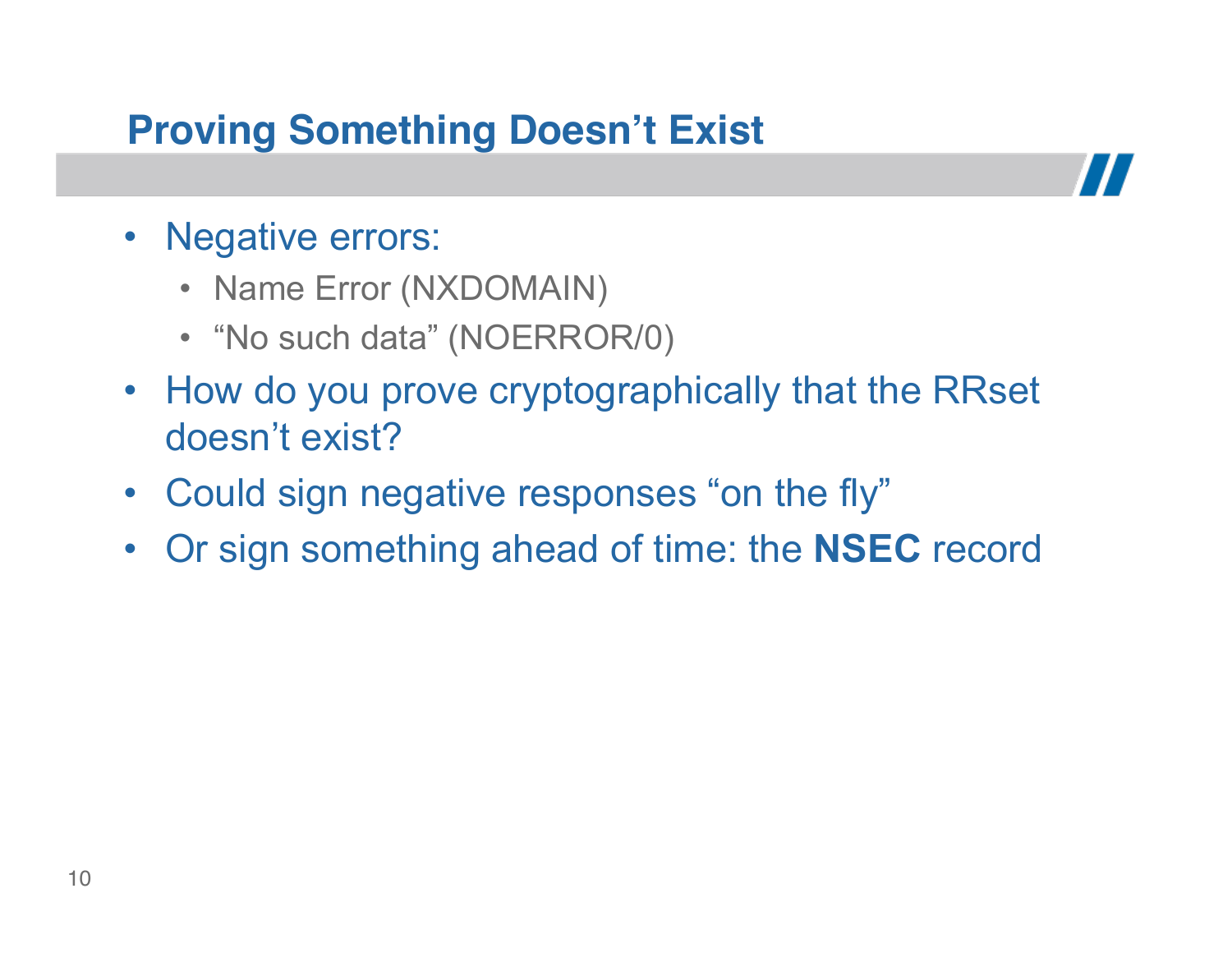# **Proving Something Doesn't Exist**

- Negative errors:
	- Name Error (NXDOMAIN)
	- "No such data" (NOERROR/0)
- How do you prove cryptographically that the RRset doesn't exist?
- Could sign negative responses "on the fly"
- Or sign something ahead of time: the **NSEC** record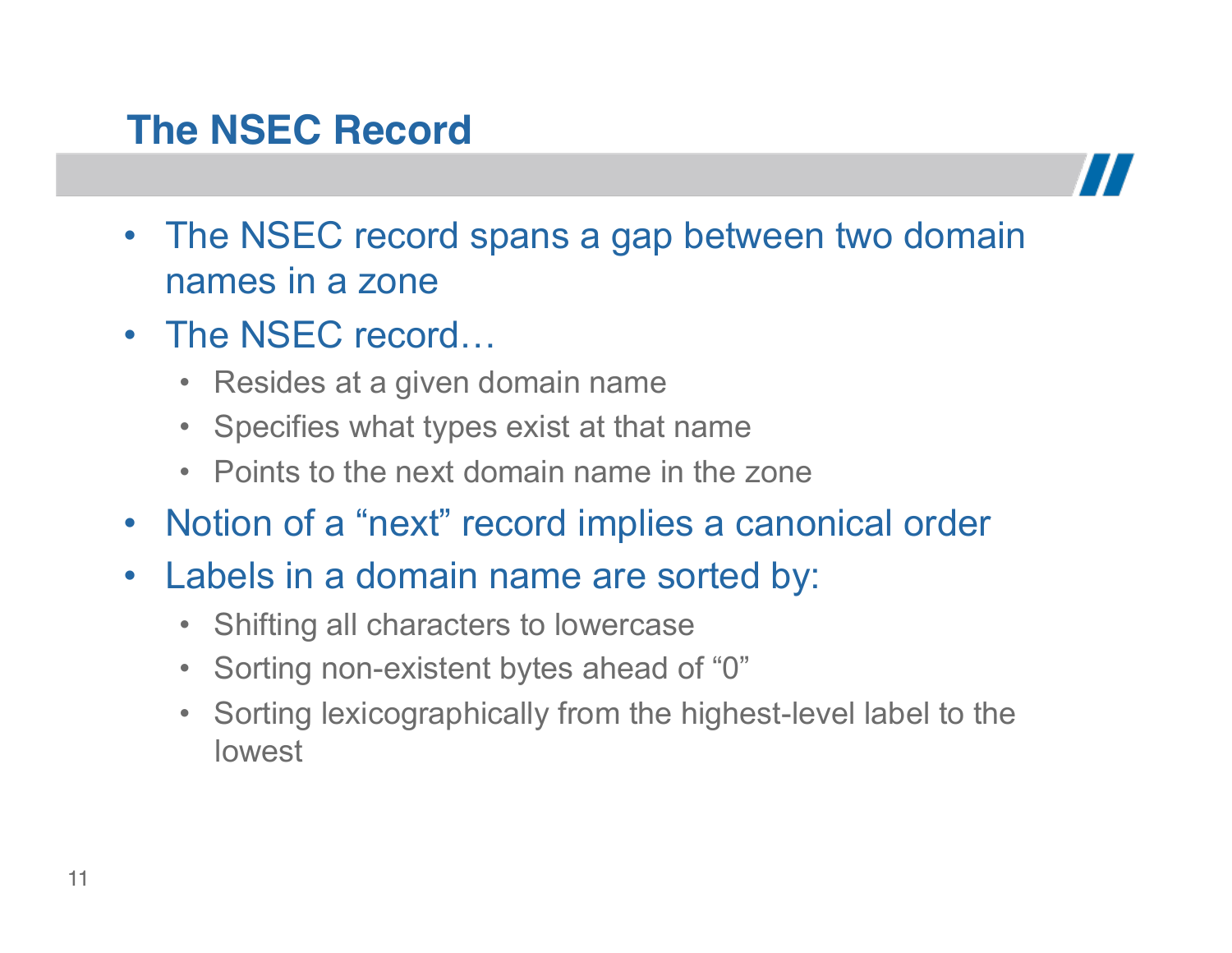# **The NSEC Record**



- The NSEC record spans a gap between two domain names in a zone
- The NSEC record...
	- Resides at a given domain name
	- Specifies what types exist at that name
	- Points to the next domain name in the zone
- Notion of a "next" record implies a canonical order
- Labels in a domain name are sorted by:
	- Shifting all characters to lowercase
	- Sorting non-existent bytes ahead of "0"
	- Sorting lexicographically from the highest-level label to the lowest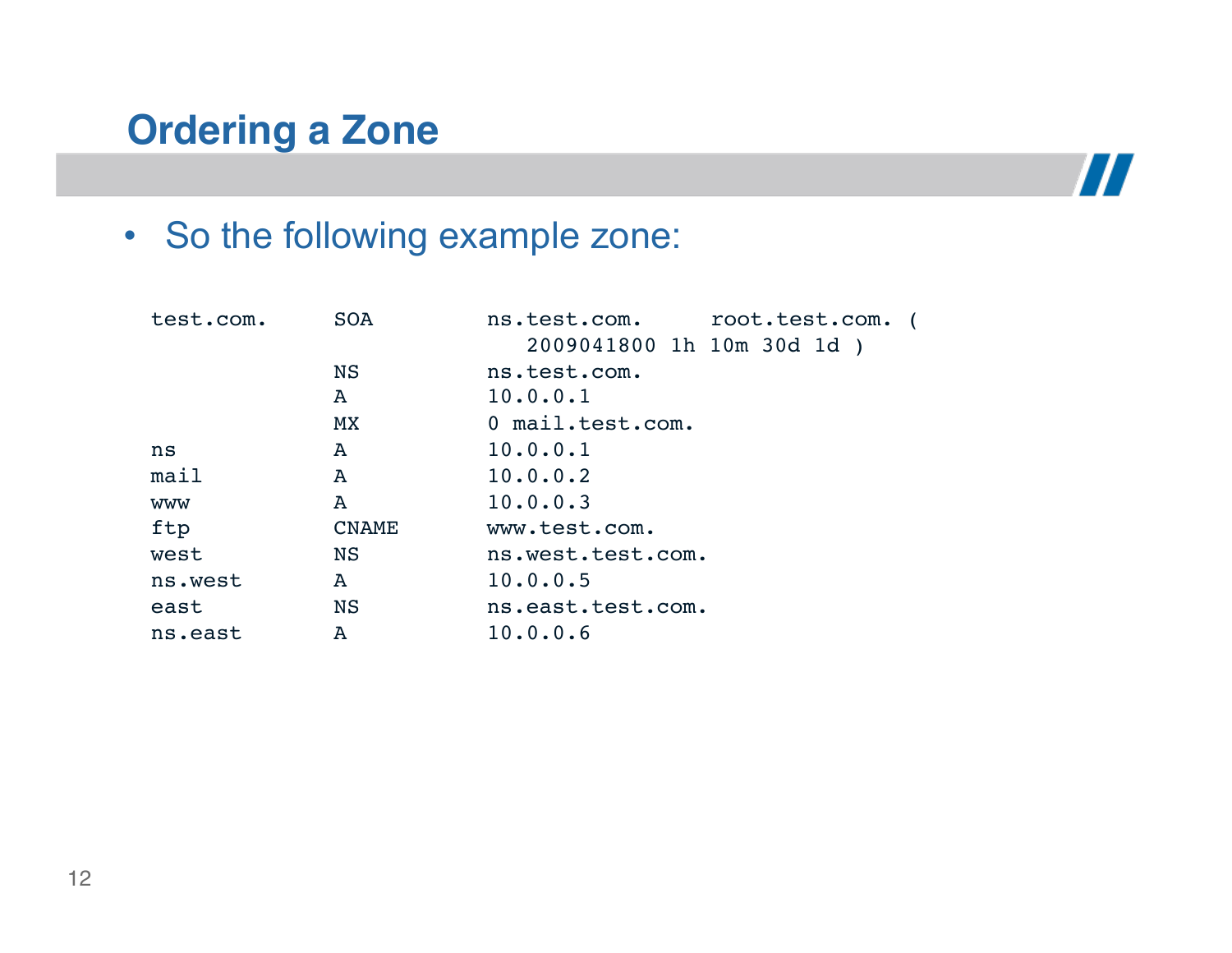#### **Ordering a Zone**



• So the following example zone:

| test.com.  | <b>SOA</b>   | ns.test.com.<br>root.test.com. |  |  |
|------------|--------------|--------------------------------|--|--|
|            |              | 2009041800 1h 10m 30d 1d)      |  |  |
|            | <b>NS</b>    | ns.test.com.                   |  |  |
|            | A            | 10.0.0.1                       |  |  |
|            | <b>MX</b>    | 0 mail.test.com.               |  |  |
| ns         | A            | 10.0.0.1                       |  |  |
| mail       | Α            | 10.0.0.2                       |  |  |
| <b>WWW</b> | A            | 10.0.0.3                       |  |  |
| ftp        | <b>CNAME</b> | www.test.com.                  |  |  |
| west       | <b>NS</b>    | ns.west.test.com.              |  |  |
| ns.west    | A            | 10.0.0.5                       |  |  |
| east       | <b>NS</b>    | ns.east.test.com.              |  |  |
| ns.east    | A            | 10.0.0.6                       |  |  |
|            |              |                                |  |  |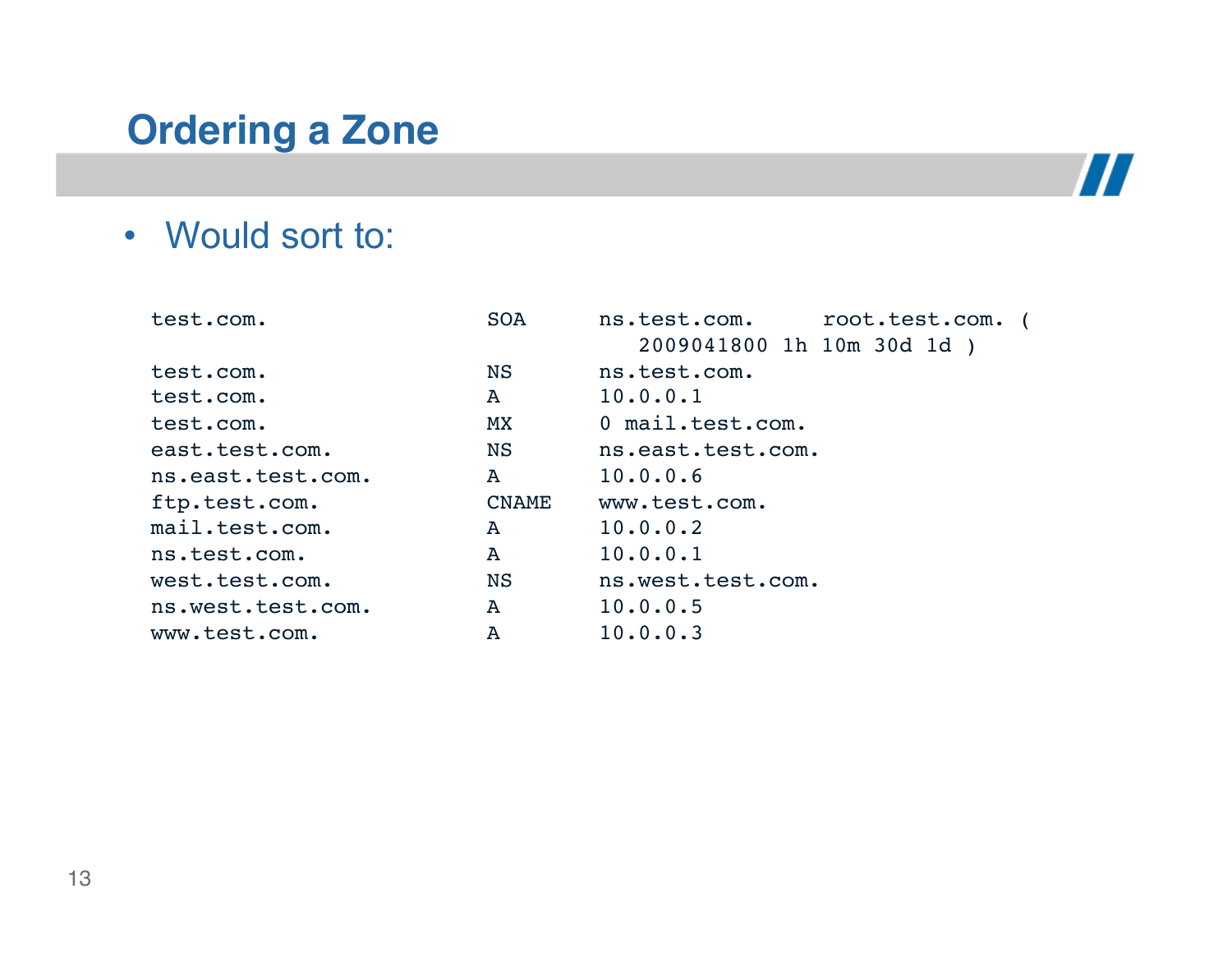#### **Ordering a Zone**



• Would sort to:

| <b>SOA</b>   | ns.test.com.      |                                             |
|--------------|-------------------|---------------------------------------------|
|              |                   |                                             |
| NS.          | ns.test.com.      |                                             |
| A            | 10.0.0.1          |                                             |
| <b>MX</b>    | 0 mail.test.com.  |                                             |
| NS           | ns.east.test.com. |                                             |
| A            | 10.0.0.6          |                                             |
| <b>CNAME</b> | www.test.com.     |                                             |
| A            | 10.0.0.2          |                                             |
| $\mathbf{A}$ | 10.0.0.1          |                                             |
| NS.          | ns.west.test.com. |                                             |
| $\mathbf{A}$ | 10.0.0.5          |                                             |
| A            | 10.0.0.3          |                                             |
|              |                   | root.test.com.<br>2009041800 1h 10m 30d 1d) |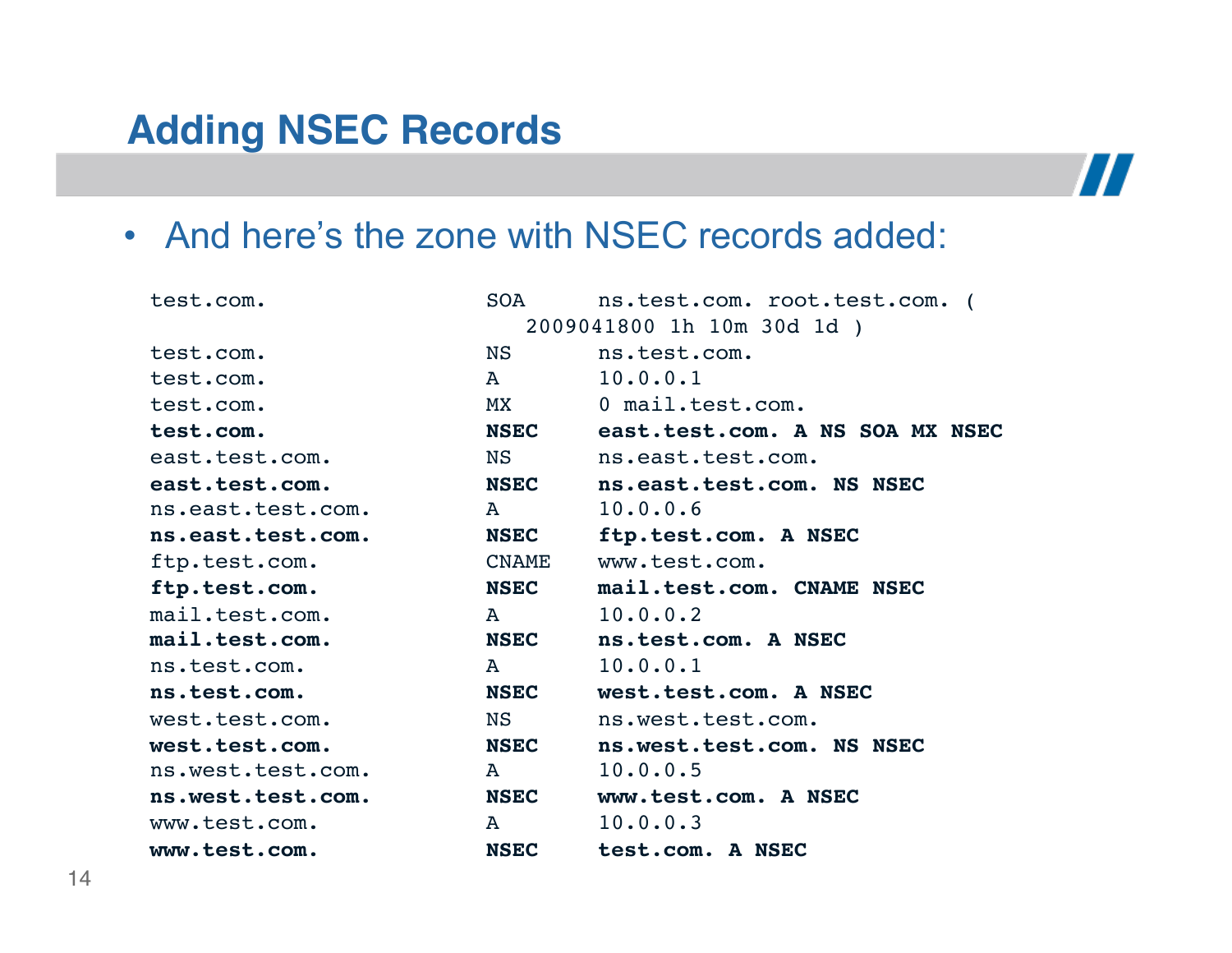#### **Adding NSEC Records**



 $\boldsymbol{H}$ 

| test.com.         | <b>SOA</b>                                                                                                                                                                                                                        | ns.test.com. root.test.com. (   |
|-------------------|-----------------------------------------------------------------------------------------------------------------------------------------------------------------------------------------------------------------------------------|---------------------------------|
|                   |                                                                                                                                                                                                                                   | 2009041800 1h 10m 30d 1d)       |
| test.com.         | NS                                                                                                                                                                                                                                | ns.test.com.                    |
| test.com.         | A                                                                                                                                                                                                                                 | 10.0.0.1                        |
| test.com.         | MX                                                                                                                                                                                                                                | 0 mail.test.com.                |
| test.com.         | <b>NSEC</b>                                                                                                                                                                                                                       | east.test.com. A NS SOA MX NSEC |
| east.test.com.    | NS Notes to the NS in the NS in the NS in the NS in the NS in the NS in the NS in the NS in the NS in the NS in the NS in the NS in the NS in the NS in the NS in the NS in the NS in the NS in the NS in the NS in the NS in     | ns.east.test.com.               |
| east.test.com.    | <b>NSEC</b>                                                                                                                                                                                                                       | ns.east.test.com. NS NSEC       |
| ns.east.test.com. | $\mathbf{A}$                                                                                                                                                                                                                      | 10.0.0.6                        |
| ns.east.test.com. | <b>NSEC</b>                                                                                                                                                                                                                       | ftp.test.com. A NSEC            |
| ftp.test.com.     | CNAME                                                                                                                                                                                                                             | www.test.com.                   |
| ftp.test.com.     | <b>NSEC</b>                                                                                                                                                                                                                       | mail.test.com. CNAME NSEC       |
| mail.test.com.    | $\mathbf{A}$                                                                                                                                                                                                                      | 10.0.0.2                        |
| mail.test.com.    | <b>NSEC</b>                                                                                                                                                                                                                       | ns.test.com. A NSEC             |
| ns.test.com.      | $\mathbf{A}$                                                                                                                                                                                                                      | 10.0.0.1                        |
| ns.test.com.      | <b>NSEC</b>                                                                                                                                                                                                                       | west.test.com. A NSEC           |
| west.test.com.    | NS Notes to the New York of the New York of the New York of the New York of the New York of the New York of the New York of the New York of the New York of the New York of the New York o<br>New York of the New York of the New | ns.west.test.com.               |
| west.test.com.    | <b>NSEC</b>                                                                                                                                                                                                                       | ns.west.test.com. NS NSEC       |
| ns.west.test.com. | $\mathbf{A}$                                                                                                                                                                                                                      | 10.0.0.5                        |
| ns.west.test.com. | <b>NSEC</b>                                                                                                                                                                                                                       | www.test.com. A NSEC            |
| www.test.com.     | $\mathbf{A}$                                                                                                                                                                                                                      | 10.0.0.3                        |
| www.test.com.     | <b>NSEC</b>                                                                                                                                                                                                                       | test.com. A NSEC                |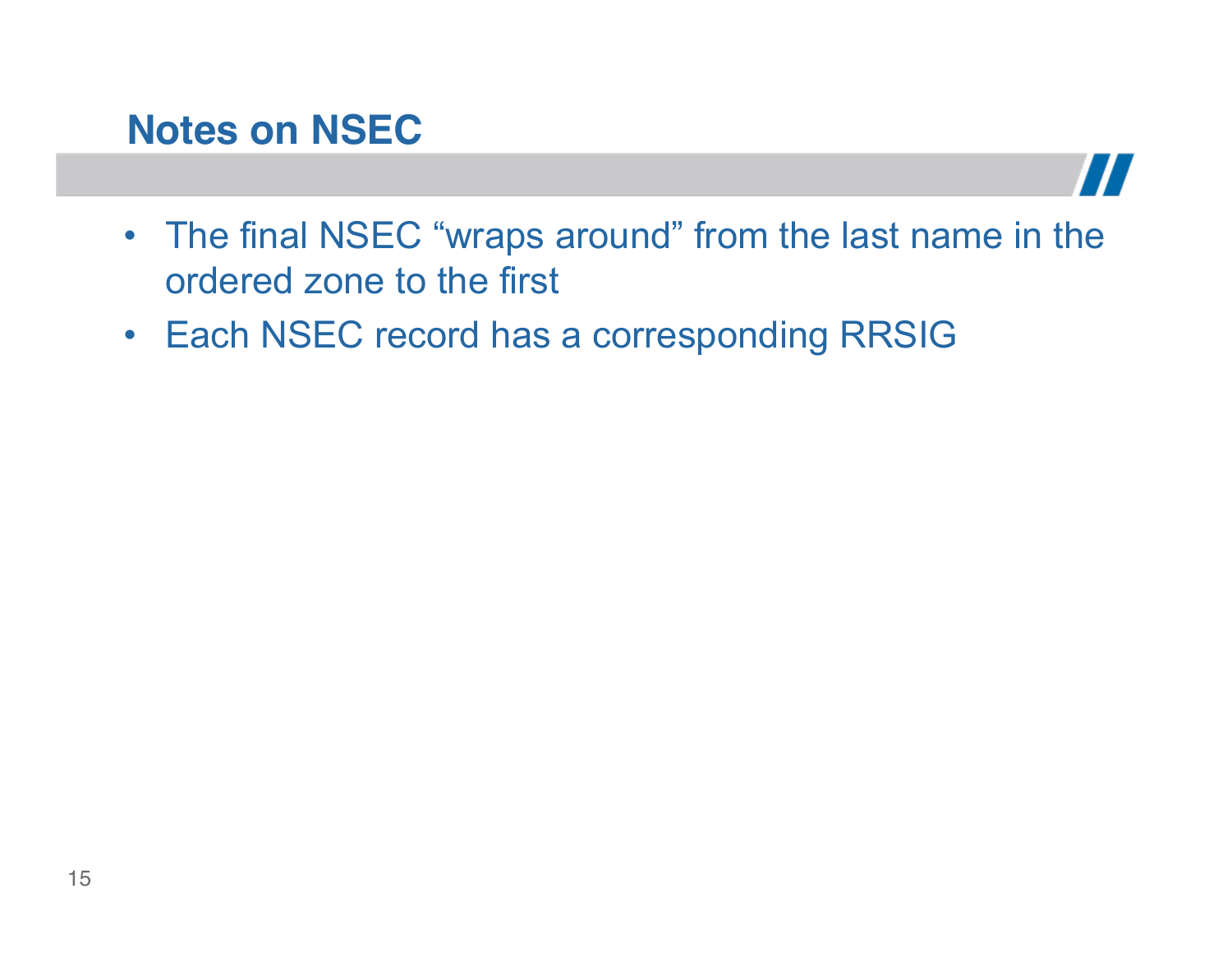#### **Notes on NSEC**



- The final NSEC "wraps around" from the last name in the ordered zone to the first
- Each NSEC record has a corresponding RRSIG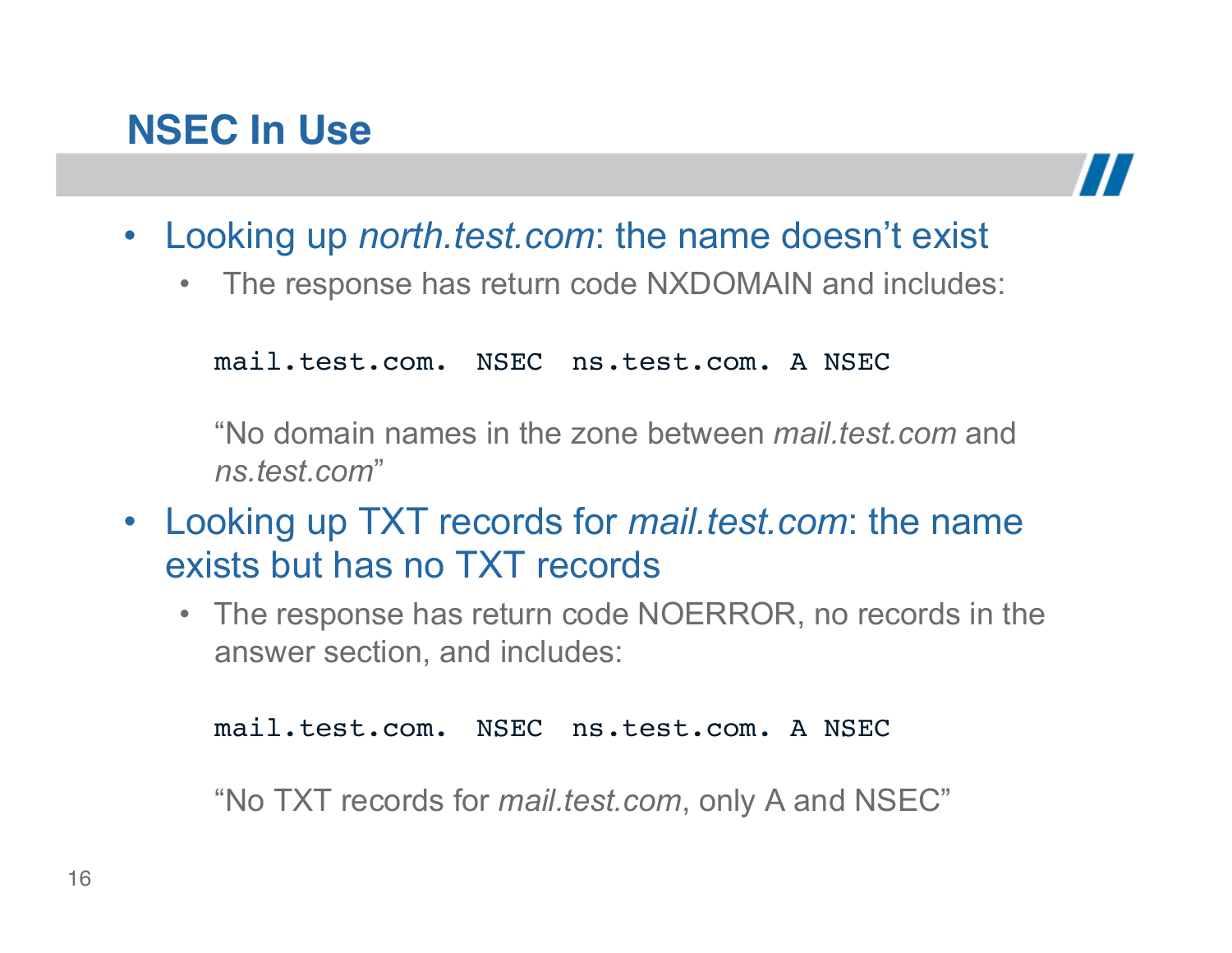# **NSEC In Use**



- Looking up *north.test.com*: the name doesn't exist
	- The response has return code NXDOMAIN and includes:

mail.test.com. NSEC ns.test.com. A NSEC

"No domain names in the zone between *mail.test.com* and *ns.test.com*"

- Looking up TXT records for *mail.test.com*: the name exists but has no TXT records
	- The response has return code NOERROR, no records in the answer section, and includes:

mail.test.com. NSEC ns.test.com. A NSEC

"No TXT records for *mail.test.com*, only A and NSEC"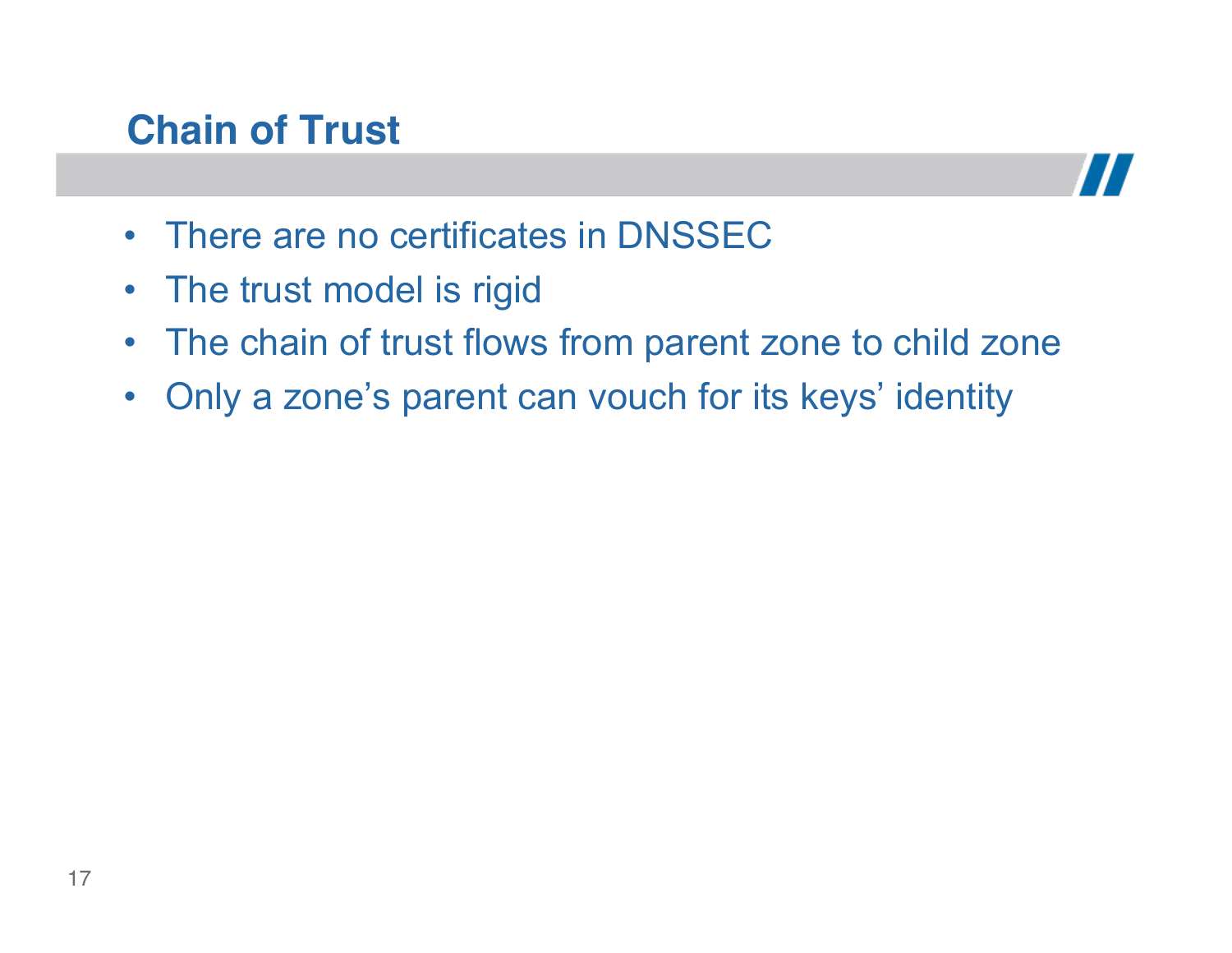# **Chain of Trust**



- There are no certificates in DNSSEC
- The trust model is rigid
- The chain of trust flows from parent zone to child zone
- Only a zone's parent can vouch for its keys' identity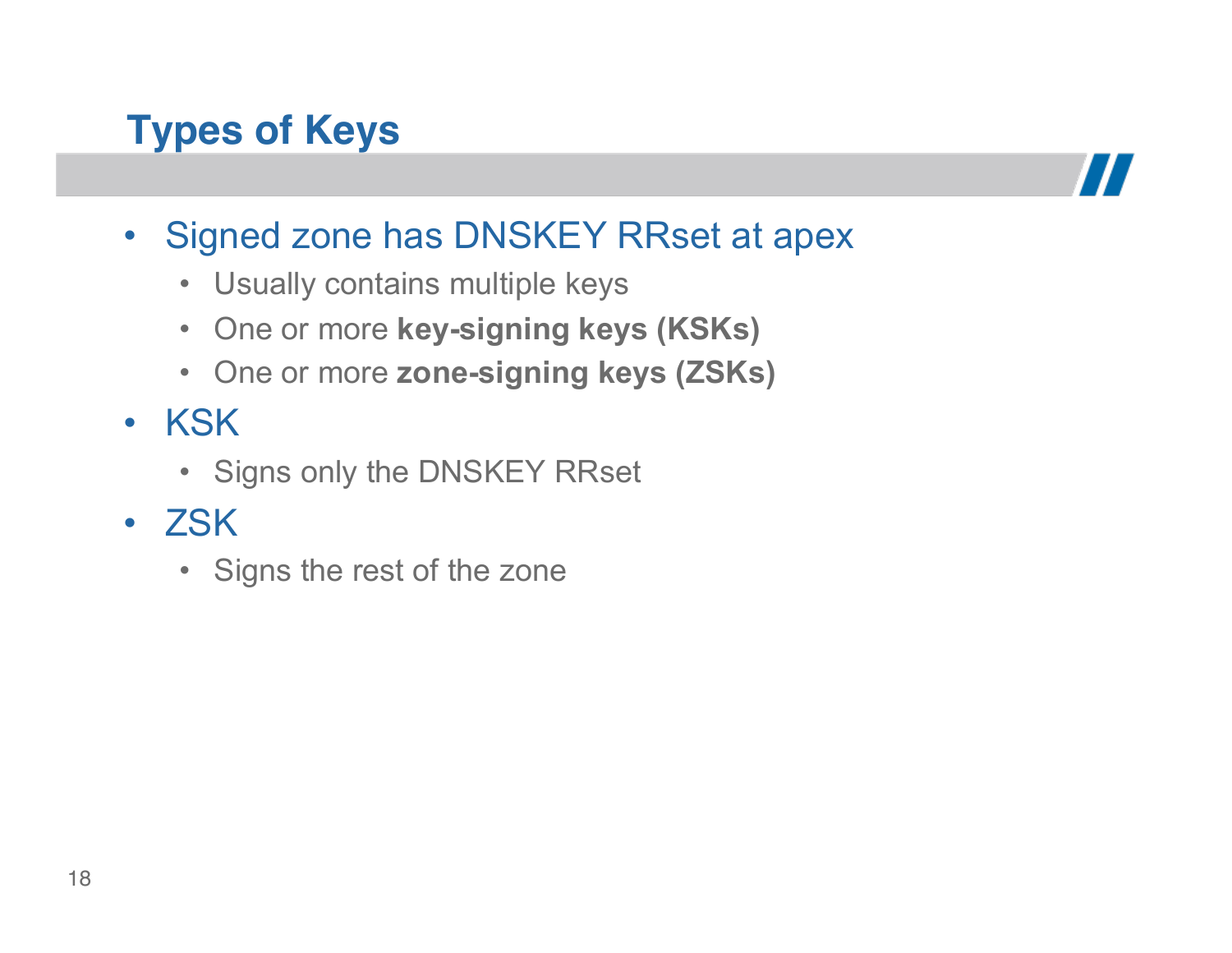# **Types of Keys**



- Signed zone has DNSKEY RRset at apex
	- Usually contains multiple keys
	- One or more **key-signing keys (KSKs)**
	- One or more **zone-signing keys (ZSKs)**
- KSK
	- Signs only the DNSKEY RRset
- ZSK
	- Signs the rest of the zone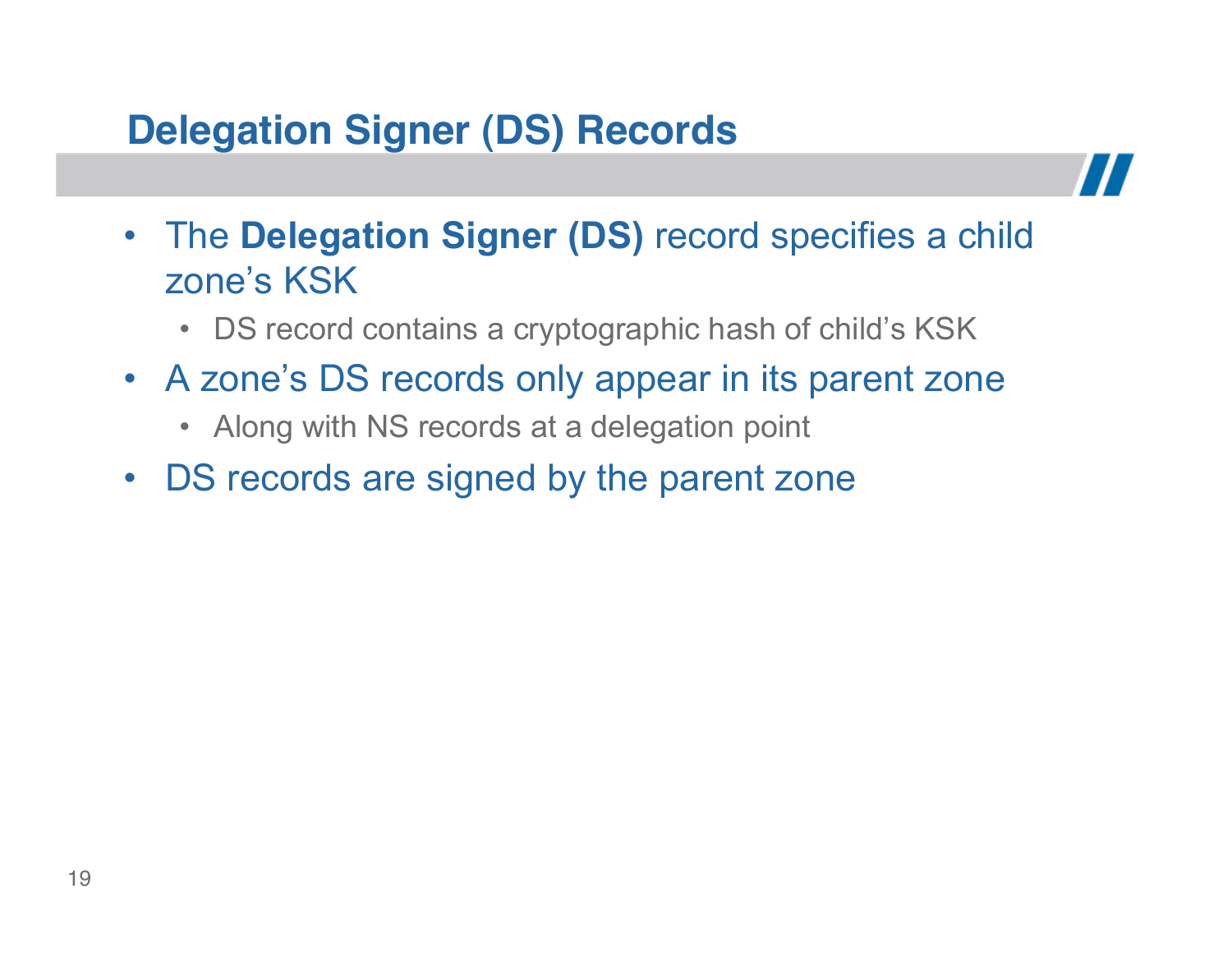# **Delegation Signer (DS) Records**



- The **Delegation Signer (DS)** record specifies a child zone's KSK
	- DS record contains a cryptographic hash of child's KSK
- A zone's DS records only appear in its parent zone
	- Along with NS records at a delegation point
- DS records are signed by the parent zone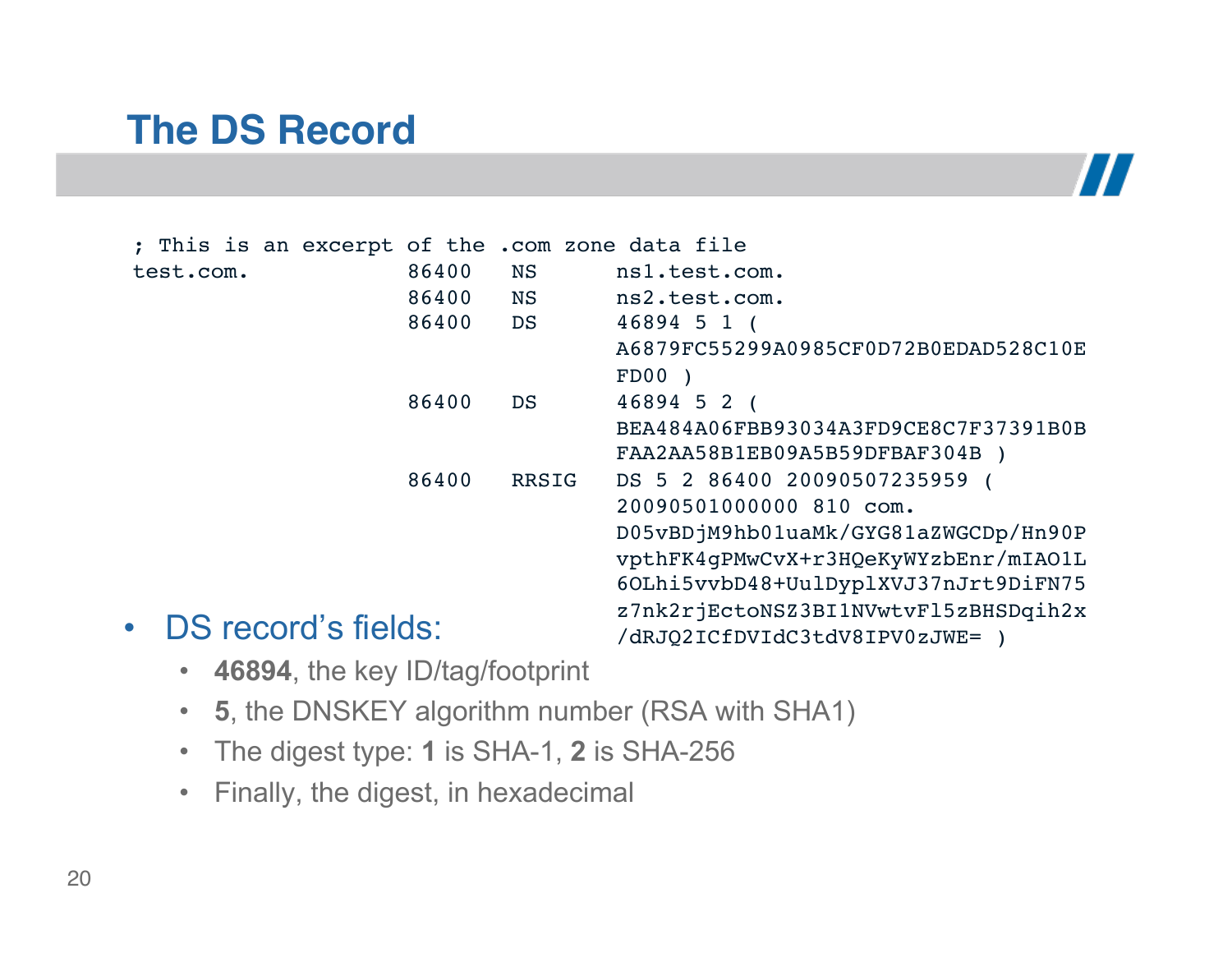#### **The DS Record**

| ; This is an excerpt of the .com zone data file |       |              |                                      |
|-------------------------------------------------|-------|--------------|--------------------------------------|
| test.com.                                       | 86400 | <b>NS</b>    | ns1.test.com.                        |
|                                                 | 86400 | <b>NS</b>    | ns2.test.com.                        |
|                                                 | 86400 | DS           | 46894 5 1 (                          |
|                                                 |       |              | A6879FC55299A0985CF0D72B0EDAD528C10E |
|                                                 |       |              | $FDOO$ )                             |
|                                                 | 86400 | DS           | 46894 5 2 (                          |
|                                                 |       |              | BEA484A06FBB93034A3FD9CE8C7F37391B0B |
|                                                 |       |              | FAA2AA58B1EB09A5B59DFBAF304B)        |
|                                                 | 86400 | <b>RRSIG</b> | DS 5 2 86400 20090507235959 (        |
|                                                 |       |              | 20090501000000 810 com.              |
|                                                 |       |              | D05vBDjM9hb01uaMk/GYG81aZWGCDp/Hn90P |
|                                                 |       |              | vpthFK4qPMwCvX+r3HQeKyWYzbEnr/mIAO1L |
|                                                 |       |              | 6OLhi5vvbD48+UulDyplXVJ37nJrt9DiFN75 |
|                                                 |       |              | z7nk2rjEctoNSZ3BI1NVwtvFl5zBHSDqih2x |
| <b>DS record's fields:</b><br>$\bullet$         |       |              | /dRJQ2ICfDVIdC3tdV8IPV0zJWE=)        |

 $\boldsymbol{H}$ 

- **46894**, the key ID/tag/footprint
- **5**, the DNSKEY algorithm number (RSA with SHA1)
- The digest type: **1** is SHA-1, **2** is SHA-256
- Finally, the digest, in hexadecimal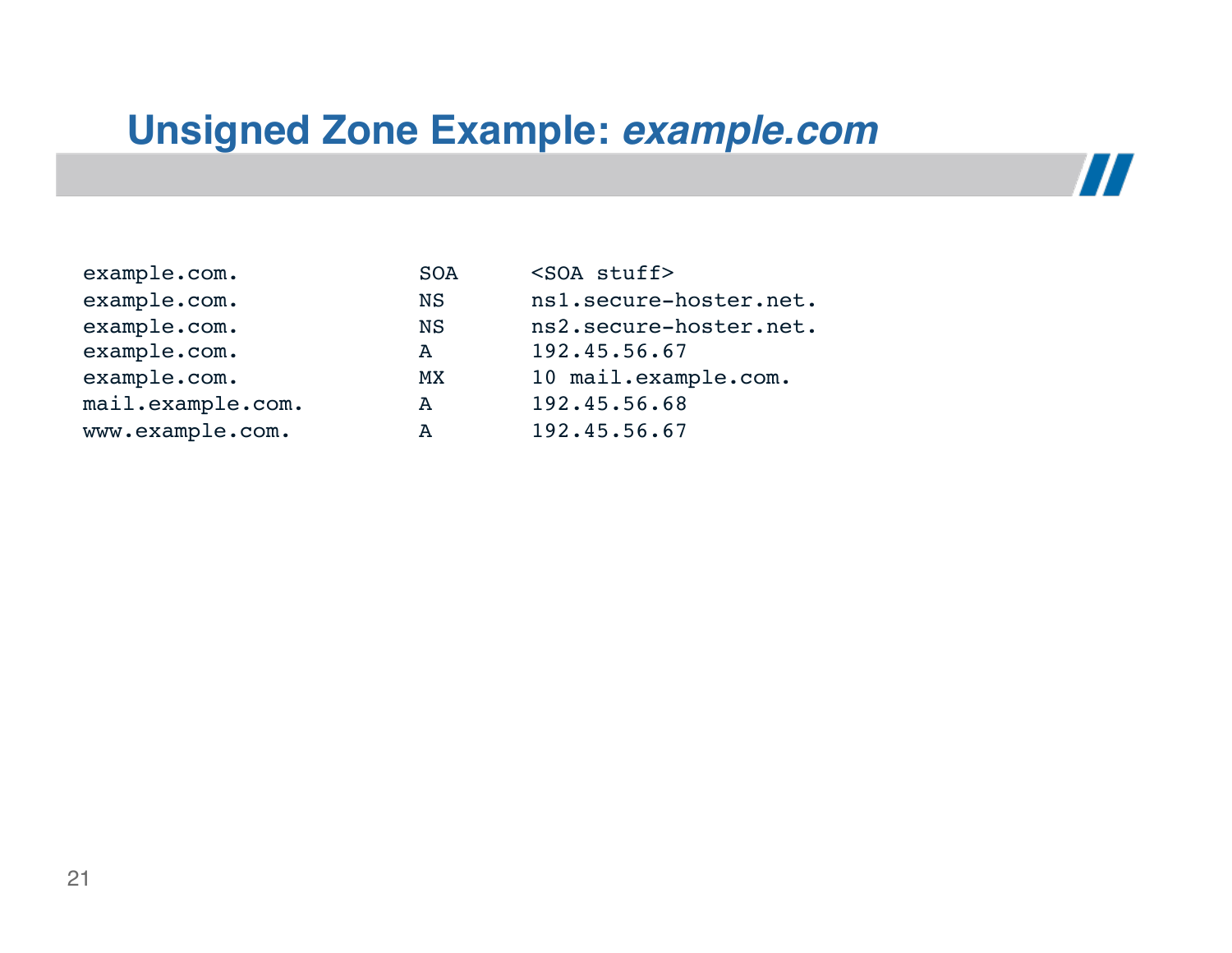#### **Unsigned Zone Example:** *example.com*

77

example.com. SOA <SOA stuff> example.com. NS ns1.secure-hoster.net. example.com. NS ns2.secure-hoster.net. example.com. A 192.45.56.67 example.com. MX 10 mail.example.com. mail.example.com. A 192.45.56.68 www.example.com. A 192.45.56.67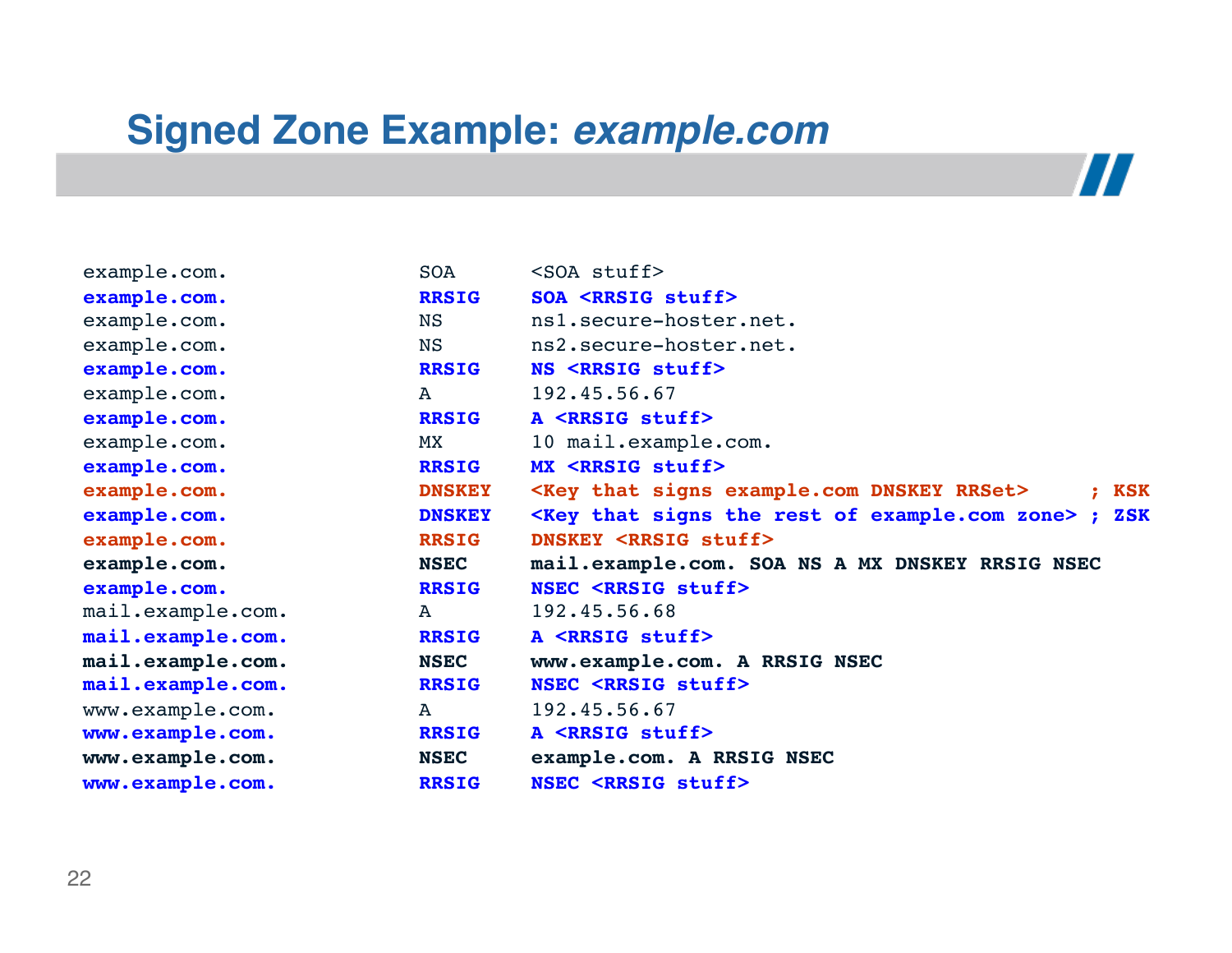#### **Signed Zone Example:** *example.com*

example.com. SOA <SOA stuff> **example.com. RRSIG SOA <RRSIG stuff>** example.com. NS ns1.secure-hoster.net. example.com. NS ns2.secure-hoster.net. **example.com. RRSIG NS <RRSIG stuff>** example.com. A 192.45.56.67 **example.com. RRSIG A <RRSIG stuff>** example.com. MX 10 mail.example.com. **example.com. RRSIG MX <RRSIG stuff> example.com. DNSKEY <Key that signs example.com DNSKEY RRSet> ; KSK example.com. DNSKEY <Key that signs the rest of example.com zone> ; ZSK example.com. RRSIG DNSKEY <RRSIG stuff> example.com. NSEC mail.example.com. SOA NS A MX DNSKEY RRSIG NSEC example.com. RRSIG NSEC <RRSIG stuff>** mail.example.com. A 192.45.56.68 **mail.example.com. RRSIG A <RRSIG stuff> mail.example.com. NSEC www.example.com. A RRSIG NSEC mail.example.com. RRSIG NSEC <RRSIG stuff>** www.example.com. A 192.45.56.67 **www.example.com. RRSIG A <RRSIG stuff> www.example.com. NSEC example.com. A RRSIG NSEC www.example.com. RRSIG NSEC <RRSIG stuff>**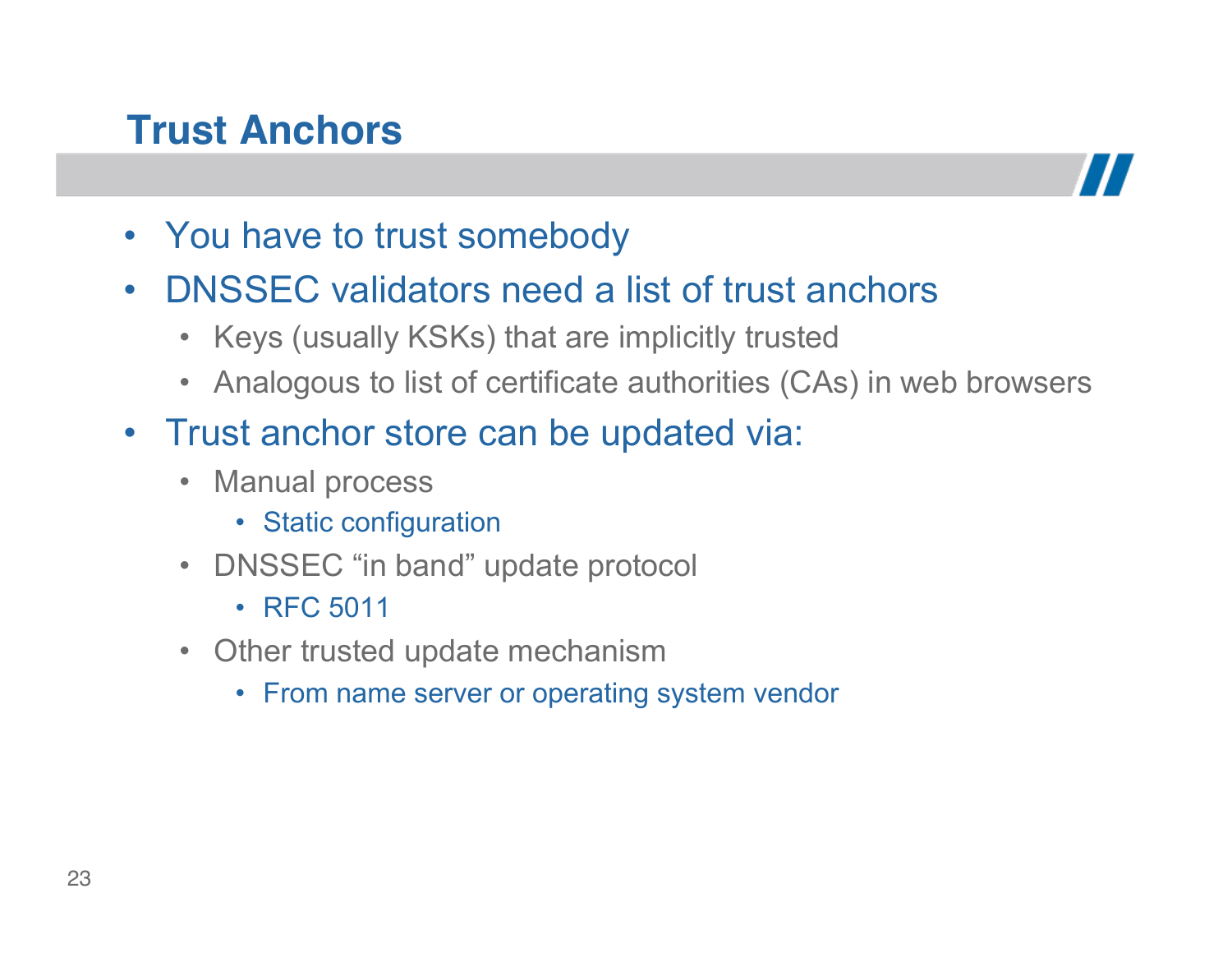#### **Trust Anchors**



- You have to trust somebody
- DNSSEC validators need a list of trust anchors
	- Keys (usually KSKs) that are implicitly trusted
	- Analogous to list of certificate authorities (CAs) in web browsers
- Trust anchor store can be updated via:
	- Manual process
		- Static configuration
	- DNSSEC "in band" update protocol
		- RFC 5011
	- Other trusted update mechanism
		- From name server or operating system vendor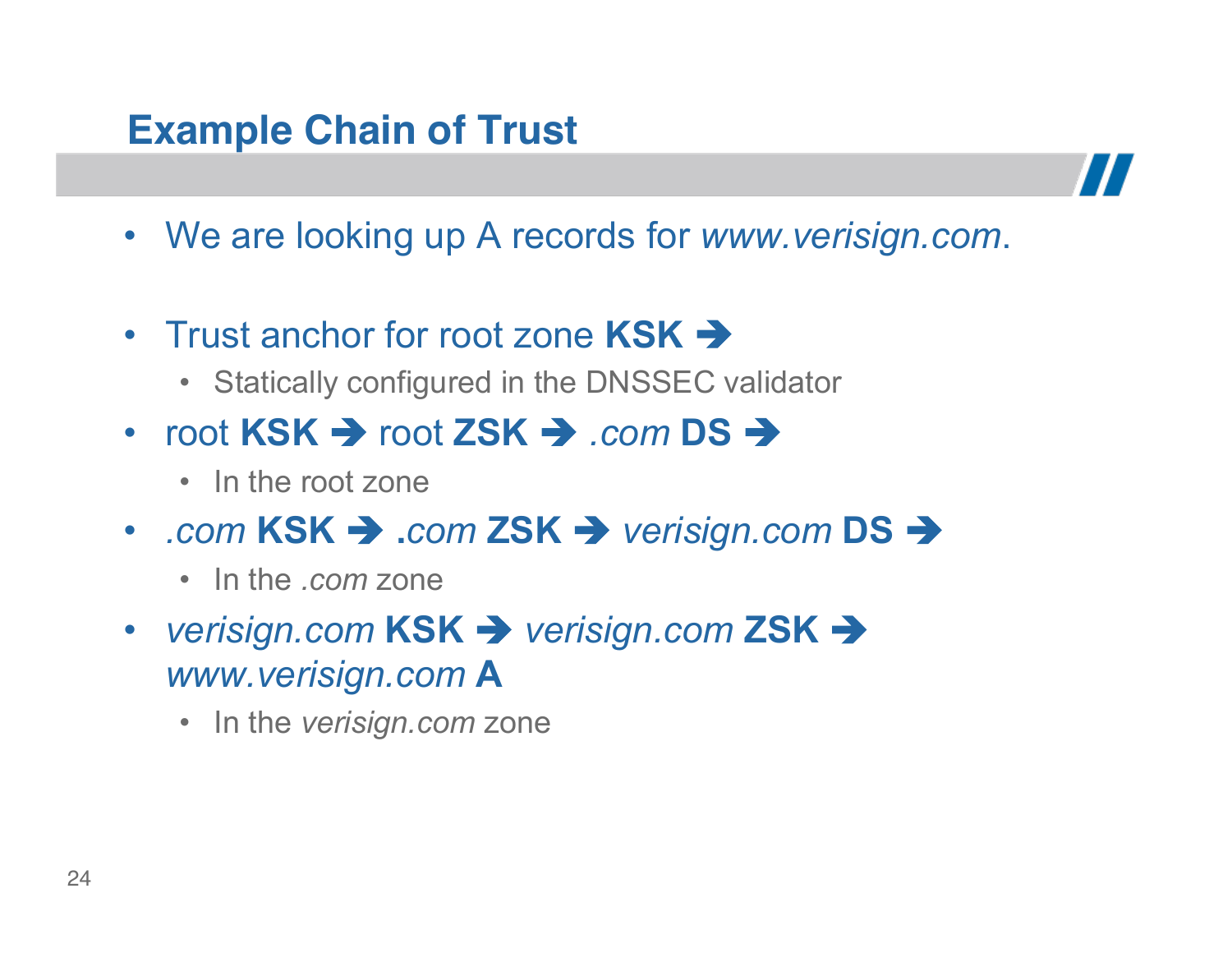#### **Example Chain of Trust**



- We are looking up A records for *www.verisign.com*.
- Trust anchor for root zone **KSK +** 
	- Statically configured in the DNSSEC validator
- root  $KSK \rightarrow root ZSK \rightarrow .com DS \rightarrow$ 
	- In the root zone
- *.com* **KSK .***com* **ZSK**  *verisign.com* **DS** 
	- In the *.com* zone
- *verisign.com* **KSK** *verisign.com* **ZSK**  *www.verisign.com* **A** 
	- In the *verisign.com* zone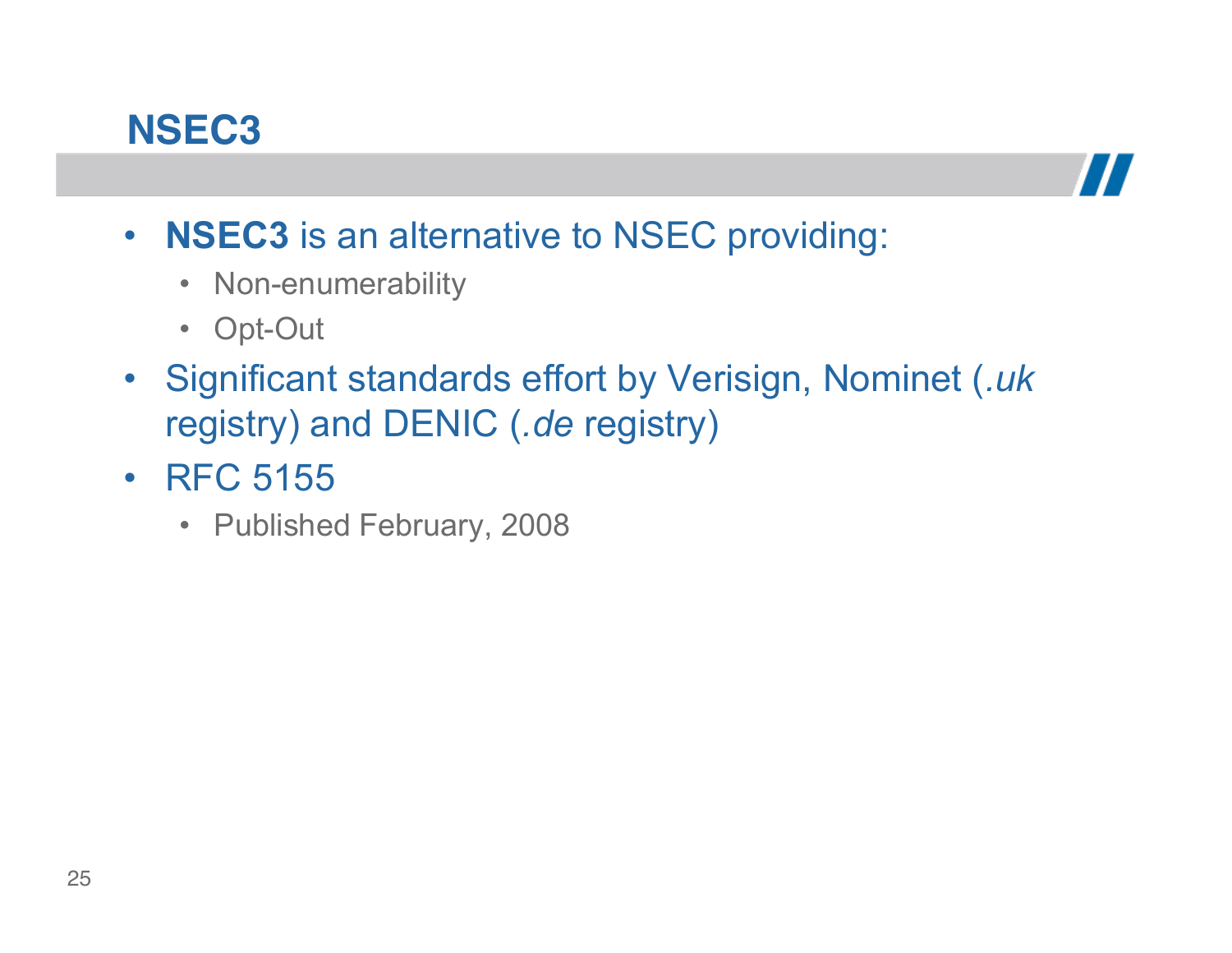#### **NSEC3**



- **NSEC3** is an alternative to NSEC providing:
	- Non-enumerability
	- Opt-Out
- Significant standards effort by Verisign, Nominet (*.uk*  registry) and DENIC (*.de* registry)
- RFC 5155
	- Published February, 2008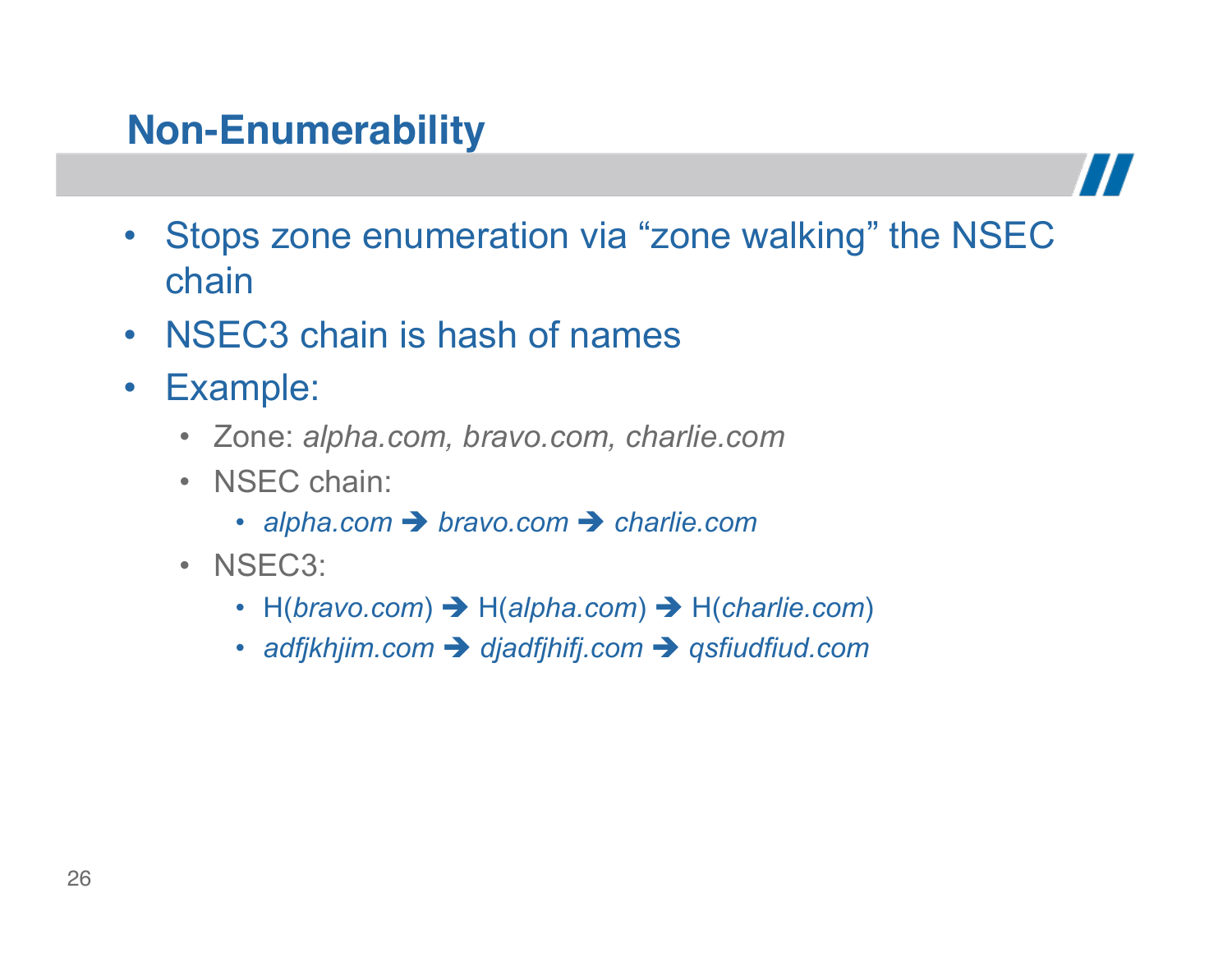# **Non-Enumerability**



- Stops zone enumeration via "zone walking" the NSEC chain
- NSEC3 chain is hash of names
- Example:
	- Zone: *alpha.com, bravo.com, charlie.com*
	- NSEC chain:
		- *alpha.com* > *bravo.com* > *charlie.com*
	- NSEC3:
		- H(*bravo.com*) H(*alpha.com*) H(*charlie.com*)
		- *adfjkhjim.com djadfjhifj.com qsfiudfiud.com*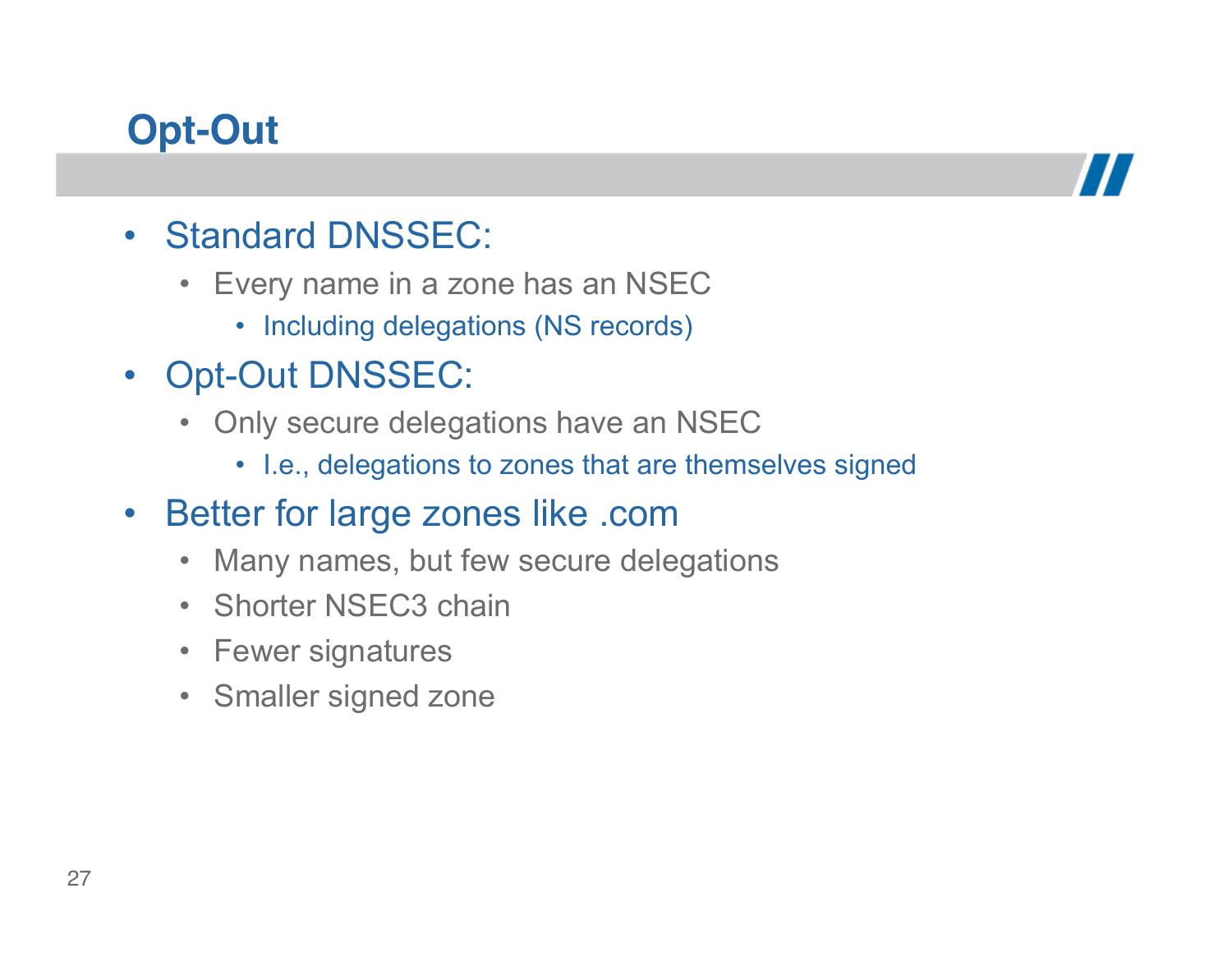# **Opt-Out**



- Standard DNSSEC:
	- Every name in a zone has an NSEC
		- Including delegations (NS records)
- Opt-Out DNSSEC:
	- Only secure delegations have an NSEC
		- I.e., delegations to zones that are themselves signed
- Better for large zones like .com
	- Many names, but few secure delegations
	- Shorter NSEC3 chain
	- Fewer signatures
	- Smaller signed zone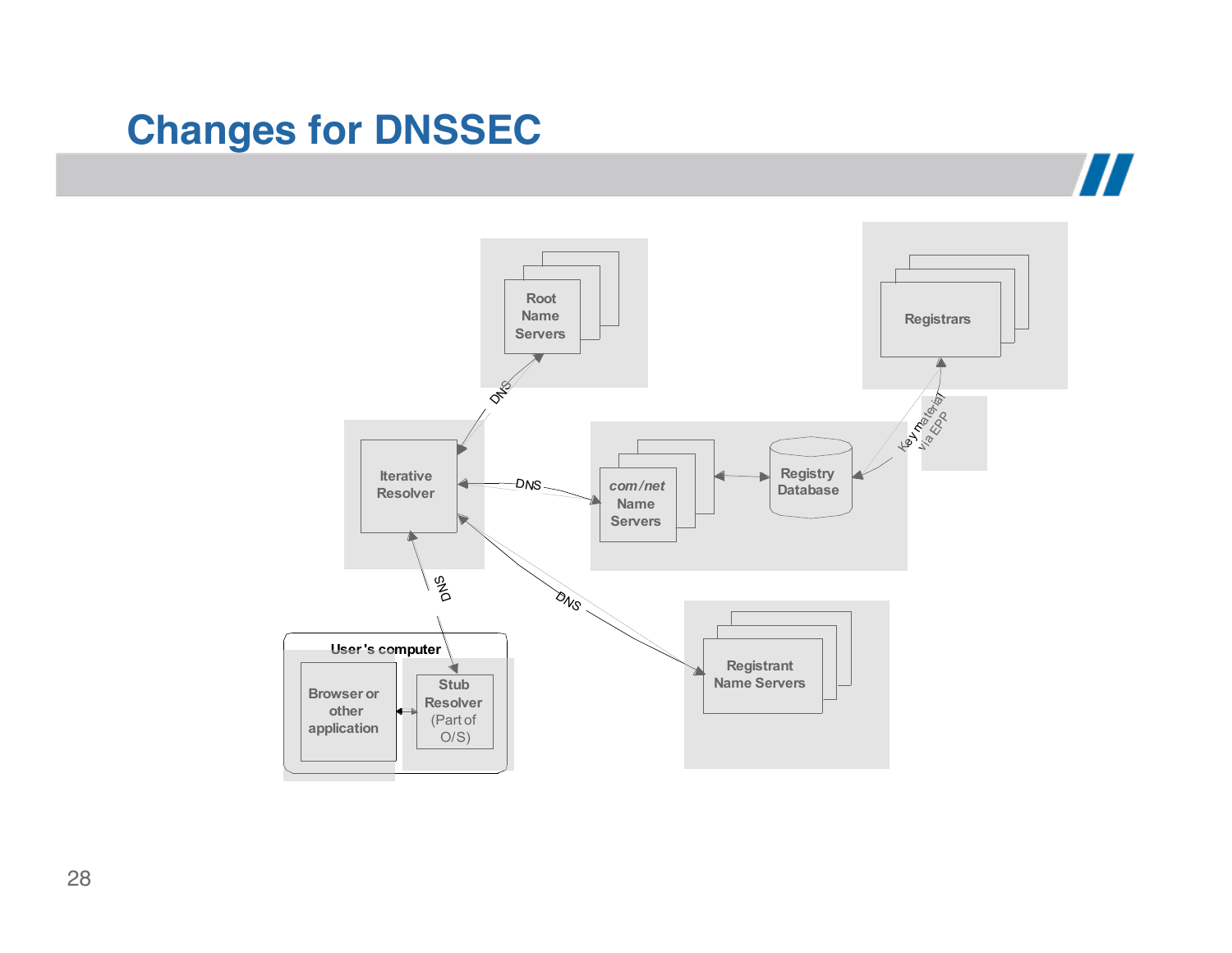#### **Changes for DNSSEC**



 $\boldsymbol{\mathit{II}}$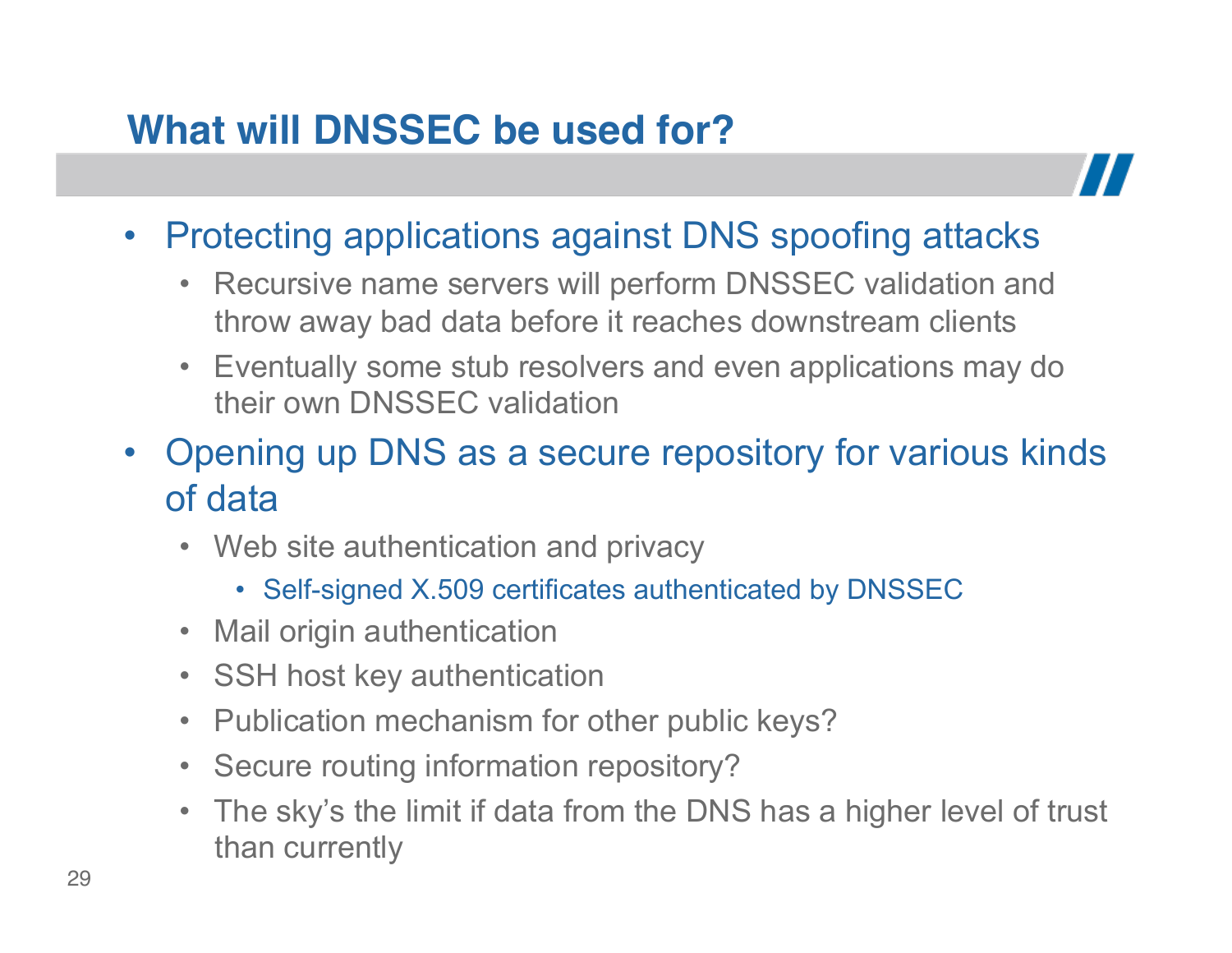# **What will DNSSEC be used for?**



- Protecting applications against DNS spoofing attacks
	- Recursive name servers will perform DNSSEC validation and throw away bad data before it reaches downstream clients
	- Eventually some stub resolvers and even applications may do their own DNSSEC validation
- Opening up DNS as a secure repository for various kinds of data
	- Web site authentication and privacy
		- Self-signed X.509 certificates authenticated by DNSSEC
	- Mail origin authentication
	- SSH host key authentication
	- Publication mechanism for other public keys?
	- Secure routing information repository?
	- The sky's the limit if data from the DNS has a higher level of trust than currently